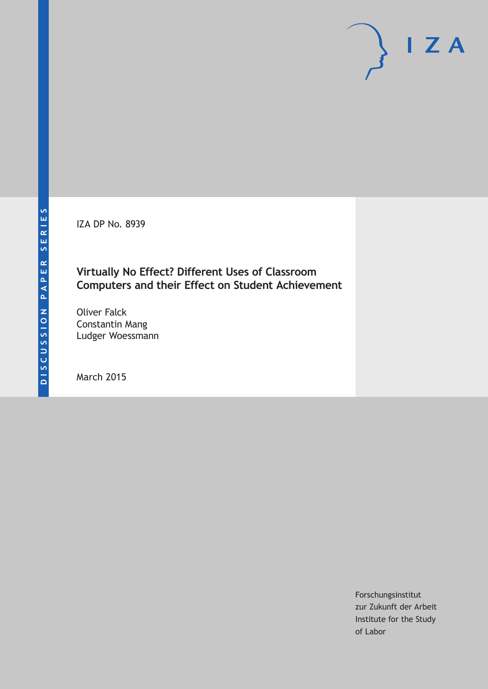IZA DP No. 8939

## **Virtually No Effect? Different Uses of Classroom Computers and their Effect on Student Achievement**

Oliver Falck Constantin Mang Ludger Woessmann

March 2015

Forschungsinstitut zur Zukunft der Arbeit Institute for the Study of Labor

 $I Z A$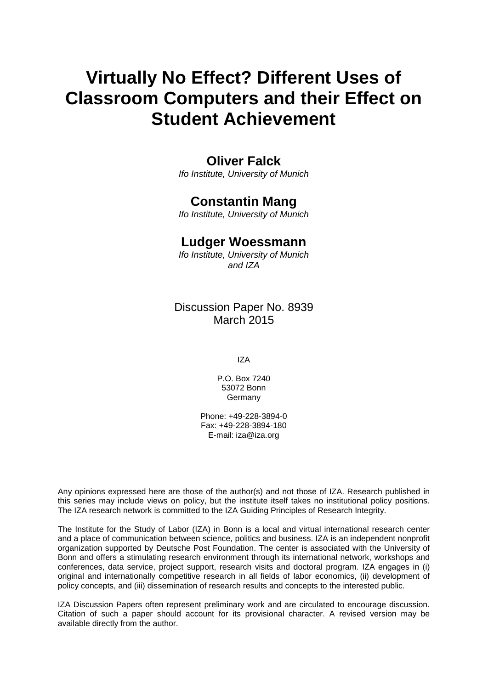# **Virtually No Effect? Different Uses of Classroom Computers and their Effect on Student Achievement**

## **Oliver Falck**

*Ifo Institute, University of Munich*

## **Constantin Mang**

*Ifo Institute, University of Munich*

### **Ludger Woessmann**

*Ifo Institute, University of Munich and IZA*

## Discussion Paper No. 8939 March 2015

IZA

P.O. Box 7240 53072 Bonn Germany

Phone: +49-228-3894-0 Fax: +49-228-3894-180 E-mail: iza@iza.org

Any opinions expressed here are those of the author(s) and not those of IZA. Research published in this series may include views on policy, but the institute itself takes no institutional policy positions. The IZA research network is committed to the IZA Guiding Principles of Research Integrity.

The Institute for the Study of Labor (IZA) in Bonn is a local and virtual international research center and a place of communication between science, politics and business. IZA is an independent nonprofit organization supported by Deutsche Post Foundation. The center is associated with the University of Bonn and offers a stimulating research environment through its international network, workshops and conferences, data service, project support, research visits and doctoral program. IZA engages in (i) original and internationally competitive research in all fields of labor economics, (ii) development of policy concepts, and (iii) dissemination of research results and concepts to the interested public.

<span id="page-1-0"></span>IZA Discussion Papers often represent preliminary work and are circulated to encourage discussion. Citation of such a paper should account for its provisional character. A revised version may be available directly from the author.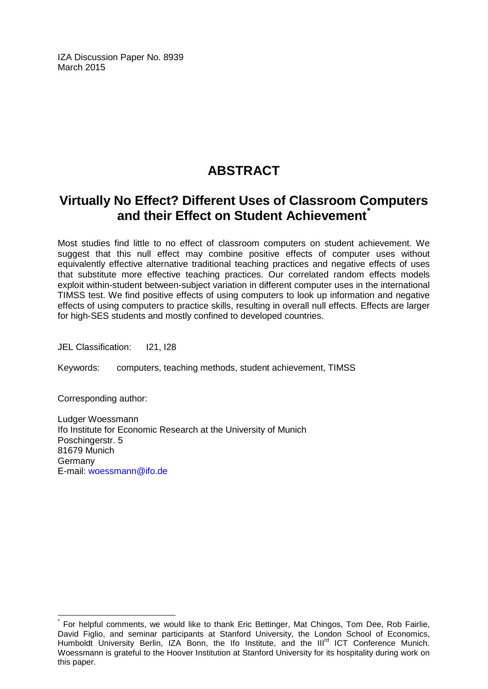IZA Discussion Paper No. 8939 March 2015

## **ABSTRACT**

## **Virtually No Effect? Different Uses of Classroom Computers and their Effect on Student Achievement[\\*](#page-1-0)**

Most studies find little to no effect of classroom computers on student achievement. We suggest that this null effect may combine positive effects of computer uses without equivalently effective alternative traditional teaching practices and negative effects of uses that substitute more effective teaching practices. Our correlated random effects models exploit within-student between-subject variation in different computer uses in the international TIMSS test. We find positive effects of using computers to look up information and negative effects of using computers to practice skills, resulting in overall null effects. Effects are larger for high-SES students and mostly confined to developed countries.

JEL Classification: I21, I28

Keywords: computers, teaching methods, student achievement, TIMSS

Corresponding author:

Ludger Woessmann Ifo Institute for Economic Research at the University of Munich Poschingerstr. 5 81679 Munich **Germany** E-mail: [woessmann@ifo.de](mailto:woessmann@ifo.de)

For helpful comments, we would like to thank Eric Bettinger, Mat Chingos, Tom Dee, Rob Fairlie, David Figlio, and seminar participants at Stanford University, the London School of Economics, Humboldt University Berlin, IZA Bonn, the Ifo Institute, and the III<sup>rd</sup> ICT Conference Munich. Woessmann is grateful to the Hoover Institution at Stanford University for its hospitality during work on this paper.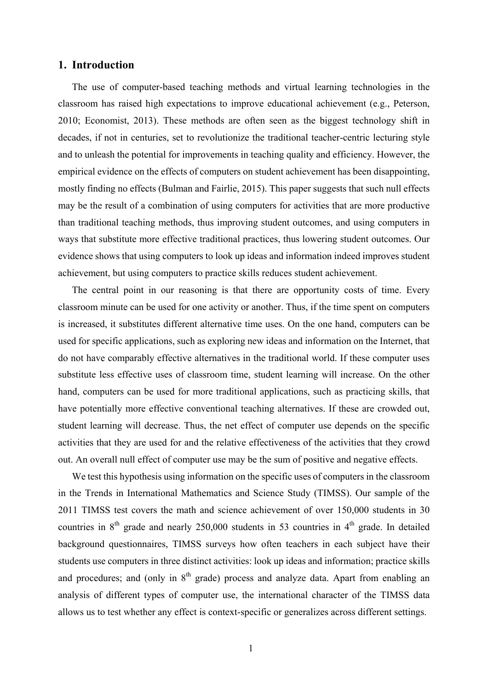#### **1. Introduction**

The use of computer-based teaching methods and virtual learning technologies in the classroom has raised high expectations to improve educational achievement (e.g., Peterson, 2010; Economist, 2013). These methods are often seen as the biggest technology shift in decades, if not in centuries, set to revolutionize the traditional teacher-centric lecturing style and to unleash the potential for improvements in teaching quality and efficiency. However, the empirical evidence on the effects of computers on student achievement has been disappointing, mostly finding no effects (Bulman and Fairlie, 2015). This paper suggests that such null effects may be the result of a combination of using computers for activities that are more productive than traditional teaching methods, thus improving student outcomes, and using computers in ways that substitute more effective traditional practices, thus lowering student outcomes. Our evidence shows that using computers to look up ideas and information indeed improves student achievement, but using computers to practice skills reduces student achievement.

The central point in our reasoning is that there are opportunity costs of time. Every classroom minute can be used for one activity or another. Thus, if the time spent on computers is increased, it substitutes different alternative time uses. On the one hand, computers can be used for specific applications, such as exploring new ideas and information on the Internet, that do not have comparably effective alternatives in the traditional world. If these computer uses substitute less effective uses of classroom time, student learning will increase. On the other hand, computers can be used for more traditional applications, such as practicing skills, that have potentially more effective conventional teaching alternatives. If these are crowded out, student learning will decrease. Thus, the net effect of computer use depends on the specific activities that they are used for and the relative effectiveness of the activities that they crowd out. An overall null effect of computer use may be the sum of positive and negative effects.

We test this hypothesis using information on the specific uses of computers in the classroom in the Trends in International Mathematics and Science Study (TIMSS). Our sample of the 2011 TIMSS test covers the math and science achievement of over 150,000 students in 30 countries in  $8<sup>th</sup>$  grade and nearly 250,000 students in 53 countries in  $4<sup>th</sup>$  grade. In detailed background questionnaires, TIMSS surveys how often teachers in each subject have their students use computers in three distinct activities: look up ideas and information; practice skills and procedures; and (only in  $8<sup>th</sup>$  grade) process and analyze data. Apart from enabling an analysis of different types of computer use, the international character of the TIMSS data allows us to test whether any effect is context-specific or generalizes across different settings.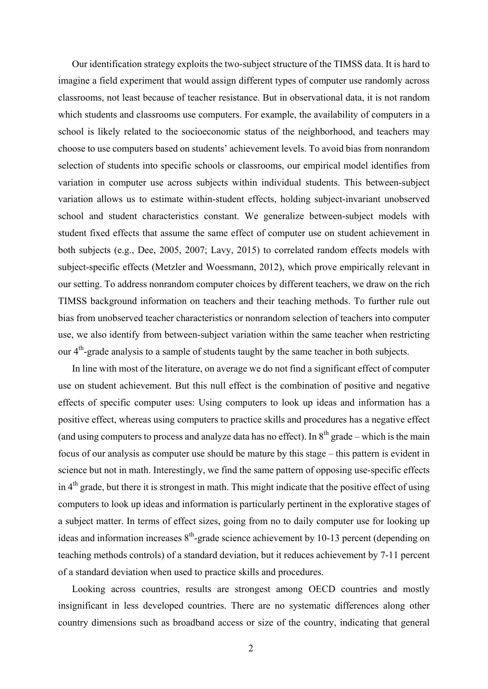Our identification strategy exploits the two-subject structure of the TIMSS data. It is hard to imagine a field experiment that would assign different types of computer use randomly across classrooms, not least because of teacher resistance. But in observational data, it is not random which students and classrooms use computers. For example, the availability of computers in a school is likely related to the socioeconomic status of the neighborhood, and teachers may choose to use computers based on students' achievement levels. To avoid bias from nonrandom selection of students into specific schools or classrooms, our empirical model identifies from variation in computer use across subjects within individual students. This between-subject variation allows us to estimate within-student effects, holding subject-invariant unobserved school and student characteristics constant. We generalize between-subject models with student fixed effects that assume the same effect of computer use on student achievement in both subjects (e.g., Dee, 2005, 2007; Lavy, 2015) to correlated random effects models with subject-specific effects (Metzler and Woessmann, 2012), which prove empirically relevant in our setting. To address nonrandom computer choices by different teachers, we draw on the rich TIMSS background information on teachers and their teaching methods. To further rule out bias from unobserved teacher characteristics or nonrandom selection of teachers into computer use, we also identify from between-subject variation within the same teacher when restricting our  $4<sup>th</sup>$ -grade analysis to a sample of students taught by the same teacher in both subjects.

In line with most of the literature, on average we do not find a significant effect of computer use on student achievement. But this null effect is the combination of positive and negative effects of specific computer uses: Using computers to look up ideas and information has a positive effect, whereas using computers to practice skills and procedures has a negative effect (and using computers to process and analyze data has no effect). In  $8<sup>th</sup>$  grade – which is the main focus of our analysis as computer use should be mature by this stage – this pattern is evident in science but not in math. Interestingly, we find the same pattern of opposing use-specific effects in 4<sup>th</sup> grade, but there it is strongest in math. This might indicate that the positive effect of using computers to look up ideas and information is particularly pertinent in the explorative stages of a subject matter. In terms of effect sizes, going from no to daily computer use for looking up ideas and information increases  $8<sup>th</sup>$ -grade science achievement by 10-13 percent (depending on teaching methods controls) of a standard deviation, but it reduces achievement by 7-11 percent of a standard deviation when used to practice skills and procedures.

Looking across countries, results are strongest among OECD countries and mostly insignificant in less developed countries. There are no systematic differences along other country dimensions such as broadband access or size of the country, indicating that general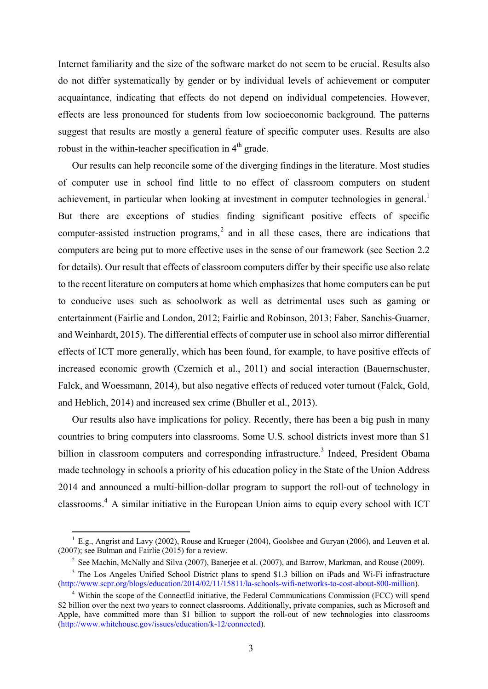Internet familiarity and the size of the software market do not seem to be crucial. Results also do not differ systematically by gender or by individual levels of achievement or computer acquaintance, indicating that effects do not depend on individual competencies. However, effects are less pronounced for students from low socioeconomic background. The patterns suggest that results are mostly a general feature of specific computer uses. Results are also robust in the within-teacher specification in  $4<sup>th</sup>$  grade.

Our results can help reconcile some of the diverging findings in the literature. Most studies of computer use in school find little to no effect of classroom computers on student achievement, in particular when looking at investment in computer technologies in general.<sup>1</sup> But there are exceptions of studies finding significant positive effects of specific computer-assisted instruction programs,<sup>2</sup> and in all these cases, there are indications that computers are being put to more effective uses in the sense of our framework (see Section 2.2 for details). Our result that effects of classroom computers differ by their specific use also relate to the recent literature on computers at home which emphasizes that home computers can be put to conducive uses such as schoolwork as well as detrimental uses such as gaming or entertainment (Fairlie and London, 2012; Fairlie and Robinson, 2013; Faber, Sanchis-Guarner, and Weinhardt, 2015). The differential effects of computer use in school also mirror differential effects of ICT more generally, which has been found, for example, to have positive effects of increased economic growth (Czernich et al., 2011) and social interaction (Bauernschuster, Falck, and Woessmann, 2014), but also negative effects of reduced voter turnout (Falck, Gold, and Heblich, 2014) and increased sex crime (Bhuller et al., 2013).

Our results also have implications for policy. Recently, there has been a big push in many countries to bring computers into classrooms. Some U.S. school districts invest more than \$1 billion in classroom computers and corresponding infrastructure.<sup>3</sup> Indeed, President Obama made technology in schools a priority of his education policy in the State of the Union Address 2014 and announced a multi-billion-dollar program to support the roll-out of technology in classrooms.<sup>4</sup> A similar initiative in the European Union aims to equip every school with ICT

<sup>&</sup>lt;sup>1</sup> E.g., Angrist and Lavy (2002), Rouse and Krueger (2004), Goolsbee and Guryan (2006), and Leuven et al. (2007); see Bulman and Fairlie (2015) for a review.

<sup>&</sup>lt;sup>2</sup> See Machin, McNally and Silva (2007), Banerjee et al. (2007), and Barrow, Markman, and Rouse (2009).

<sup>&</sup>lt;sup>3</sup> The Los Angeles Unified School District plans to spend \$1.3 billion on iPads and Wi-Fi infrastructure (http://www.scpr.org/blogs/education/2014/02/11/15811/la-schools-wifi-networks-to-cost-about-800-million).

<sup>4</sup> Within the scope of the ConnectEd initiative, the Federal Communications Commission (FCC) will spend \$2 billion over the next two years to connect classrooms. Additionally, private companies, such as Microsoft and Apple, have committed more than \$1 billion to support the roll-out of new technologies into classrooms (http://www.whitehouse.gov/issues/education/k-12/connected).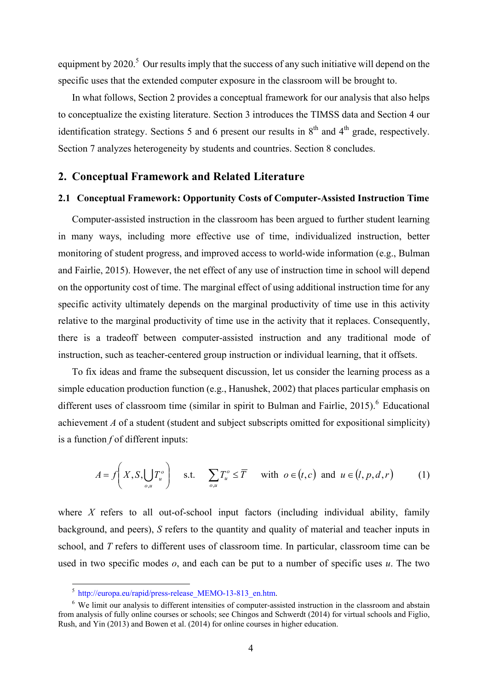equipment by 2020.<sup>5</sup> Our results imply that the success of any such initiative will depend on the specific uses that the extended computer exposure in the classroom will be brought to.

In what follows, Section 2 provides a conceptual framework for our analysis that also helps to conceptualize the existing literature. Section 3 introduces the TIMSS data and Section 4 our identification strategy. Sections 5 and 6 present our results in  $8<sup>th</sup>$  and  $4<sup>th</sup>$  grade, respectively. Section 7 analyzes heterogeneity by students and countries. Section 8 concludes.

#### **2. Conceptual Framework and Related Literature**

#### **2.1 Conceptual Framework: Opportunity Costs of Computer-Assisted Instruction Time**

Computer-assisted instruction in the classroom has been argued to further student learning in many ways, including more effective use of time, individualized instruction, better monitoring of student progress, and improved access to world-wide information (e.g., Bulman and Fairlie, 2015). However, the net effect of any use of instruction time in school will depend on the opportunity cost of time. The marginal effect of using additional instruction time for any specific activity ultimately depends on the marginal productivity of time use in this activity relative to the marginal productivity of time use in the activity that it replaces. Consequently, there is a tradeoff between computer-assisted instruction and any traditional mode of instruction, such as teacher-centered group instruction or individual learning, that it offsets.

To fix ideas and frame the subsequent discussion, let us consider the learning process as a simple education production function (e.g., Hanushek, 2002) that places particular emphasis on different uses of classroom time (similar in spirit to Bulman and Fairlie, 2015).<sup>6</sup> Educational achievement *A* of a student (student and subject subscripts omitted for expositional simplicity) is a function *f* of different inputs:

$$
A = f\left(X, S, \bigcup_{o,u} T_u^o\right) \quad \text{s.t.} \quad \sum_{o,u} T_u^o \leq \overline{T} \quad \text{with } o \in (t,c) \text{ and } u \in (l, p, d, r) \tag{1}
$$

where *X* refers to all out-of-school input factors (including individual ability, family background, and peers), *S* refers to the quantity and quality of material and teacher inputs in school, and *T* refers to different uses of classroom time. In particular, classroom time can be used in two specific modes *o*, and each can be put to a number of specific uses *u*. The two

 $\overline{a}$ 

 $5$  http://europa.eu/rapid/press-release MEMO-13-813 en.htm.

<sup>&</sup>lt;sup>6</sup> We limit our analysis to different intensities of computer-assisted instruction in the classroom and abstain from analysis of fully online courses or schools; see Chingos and Schwerdt (2014) for virtual schools and Figlio, Rush, and Yin (2013) and Bowen et al. (2014) for online courses in higher education.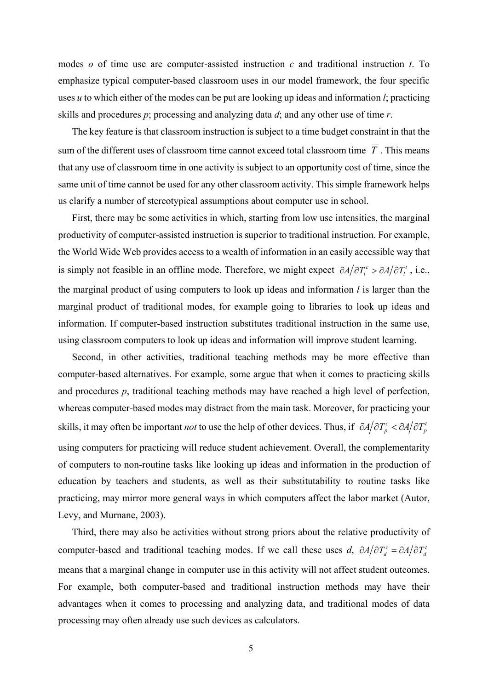modes *o* of time use are computer-assisted instruction *c* and traditional instruction *t*. To emphasize typical computer-based classroom uses in our model framework, the four specific uses *u* to which either of the modes can be put are looking up ideas and information *l*; practicing skills and procedures *p*; processing and analyzing data *d*; and any other use of time *r*.

The key feature is that classroom instruction is subject to a time budget constraint in that the sum of the different uses of classroom time cannot exceed total classroom time  $\overline{T}$ . This means that any use of classroom time in one activity is subject to an opportunity cost of time, since the same unit of time cannot be used for any other classroom activity. This simple framework helps us clarify a number of stereotypical assumptions about computer use in school.

First, there may be some activities in which, starting from low use intensities, the marginal productivity of computer-assisted instruction is superior to traditional instruction. For example, the World Wide Web provides access to a wealth of information in an easily accessible way that is simply not feasible in an offline mode. Therefore, we might expect  $\partial A/\partial T_i^c > \partial A/\partial T_i^t$ , i.e., the marginal product of using computers to look up ideas and information *l* is larger than the marginal product of traditional modes, for example going to libraries to look up ideas and information. If computer-based instruction substitutes traditional instruction in the same use, using classroom computers to look up ideas and information will improve student learning.

Second, in other activities, traditional teaching methods may be more effective than computer-based alternatives. For example, some argue that when it comes to practicing skills and procedures *p*, traditional teaching methods may have reached a high level of perfection, whereas computer-based modes may distract from the main task. Moreover, for practicing your skills, it may often be important *not* to use the help of other devices. Thus, if  $\partial A/\partial T_p^c < \partial A/\partial T_p^c$ using computers for practicing will reduce student achievement. Overall, the complementarity of computers to non-routine tasks like looking up ideas and information in the production of education by teachers and students, as well as their substitutability to routine tasks like practicing, may mirror more general ways in which computers affect the labor market (Autor, Levy, and Murnane, 2003).

Third, there may also be activities without strong priors about the relative productivity of computer-based and traditional teaching modes. If we call these uses *d*,  $\partial A/\partial T_a^c = \partial A/\partial T_a^c$ means that a marginal change in computer use in this activity will not affect student outcomes. For example, both computer-based and traditional instruction methods may have their advantages when it comes to processing and analyzing data, and traditional modes of data processing may often already use such devices as calculators.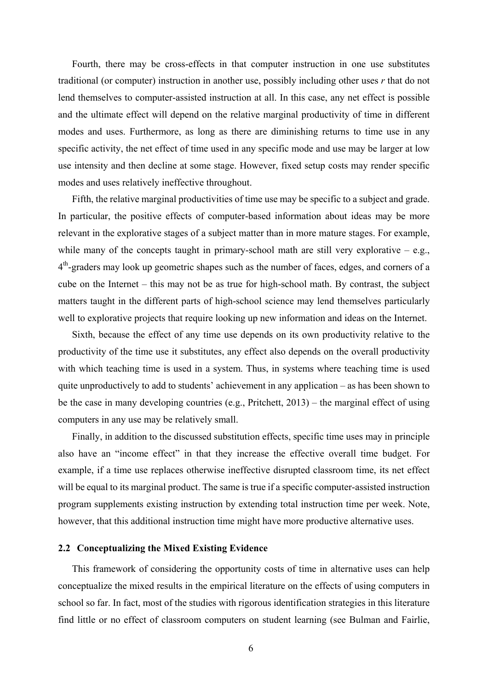Fourth, there may be cross-effects in that computer instruction in one use substitutes traditional (or computer) instruction in another use, possibly including other uses *r* that do not lend themselves to computer-assisted instruction at all. In this case, any net effect is possible and the ultimate effect will depend on the relative marginal productivity of time in different modes and uses. Furthermore, as long as there are diminishing returns to time use in any specific activity, the net effect of time used in any specific mode and use may be larger at low use intensity and then decline at some stage. However, fixed setup costs may render specific modes and uses relatively ineffective throughout.

Fifth, the relative marginal productivities of time use may be specific to a subject and grade. In particular, the positive effects of computer-based information about ideas may be more relevant in the explorative stages of a subject matter than in more mature stages. For example, while many of the concepts taught in primary-school math are still very explorative  $-$  e.g.,  $4<sup>th</sup>$ -graders may look up geometric shapes such as the number of faces, edges, and corners of a cube on the Internet – this may not be as true for high-school math. By contrast, the subject matters taught in the different parts of high-school science may lend themselves particularly well to explorative projects that require looking up new information and ideas on the Internet.

Sixth, because the effect of any time use depends on its own productivity relative to the productivity of the time use it substitutes, any effect also depends on the overall productivity with which teaching time is used in a system. Thus, in systems where teaching time is used quite unproductively to add to students' achievement in any application – as has been shown to be the case in many developing countries (e.g., Pritchett, 2013) – the marginal effect of using computers in any use may be relatively small.

Finally, in addition to the discussed substitution effects, specific time uses may in principle also have an "income effect" in that they increase the effective overall time budget. For example, if a time use replaces otherwise ineffective disrupted classroom time, its net effect will be equal to its marginal product. The same is true if a specific computer-assisted instruction program supplements existing instruction by extending total instruction time per week. Note, however, that this additional instruction time might have more productive alternative uses.

#### **2.2 Conceptualizing the Mixed Existing Evidence**

This framework of considering the opportunity costs of time in alternative uses can help conceptualize the mixed results in the empirical literature on the effects of using computers in school so far. In fact, most of the studies with rigorous identification strategies in this literature find little or no effect of classroom computers on student learning (see Bulman and Fairlie,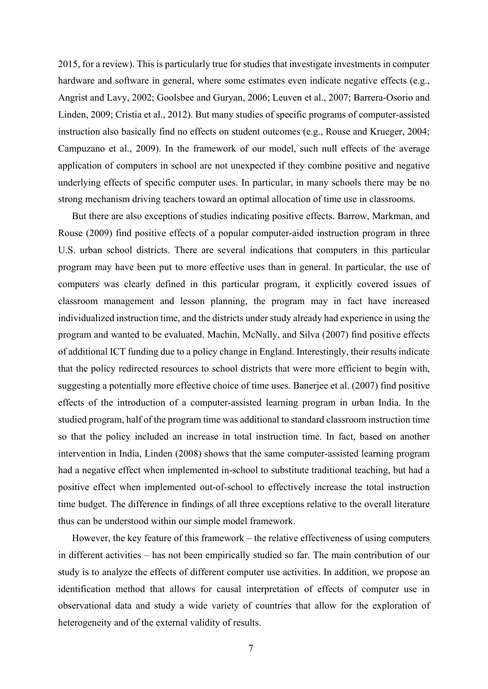2015, for a review). This is particularly true for studies that investigate investments in computer hardware and software in general, where some estimates even indicate negative effects (e.g., Angrist and Lavy, 2002; Goolsbee and Guryan, 2006; Leuven et al., 2007; Barrera-Osorio and Linden, 2009; Cristia et al., 2012). But many studies of specific programs of computer-assisted instruction also basically find no effects on student outcomes (e.g., Rouse and Krueger, 2004; Campuzano et al., 2009). In the framework of our model, such null effects of the average application of computers in school are not unexpected if they combine positive and negative underlying effects of specific computer uses. In particular, in many schools there may be no strong mechanism driving teachers toward an optimal allocation of time use in classrooms.

But there are also exceptions of studies indicating positive effects. Barrow, Markman, and Rouse (2009) find positive effects of a popular computer-aided instruction program in three U.S. urban school districts. There are several indications that computers in this particular program may have been put to more effective uses than in general. In particular, the use of computers was clearly defined in this particular program, it explicitly covered issues of classroom management and lesson planning, the program may in fact have increased individualized instruction time, and the districts under study already had experience in using the program and wanted to be evaluated. Machin, McNally, and Silva (2007) find positive effects of additional ICT funding due to a policy change in England. Interestingly, their results indicate that the policy redirected resources to school districts that were more efficient to begin with, suggesting a potentially more effective choice of time uses. Banerjee et al. (2007) find positive effects of the introduction of a computer-assisted learning program in urban India. In the studied program, half of the program time was additional to standard classroom instruction time so that the policy included an increase in total instruction time. In fact, based on another intervention in India, Linden (2008) shows that the same computer-assisted learning program had a negative effect when implemented in-school to substitute traditional teaching, but had a positive effect when implemented out-of-school to effectively increase the total instruction time budget. The difference in findings of all three exceptions relative to the overall literature thus can be understood within our simple model framework.

However, the key feature of this framework – the relative effectiveness of using computers in different activities – has not been empirically studied so far. The main contribution of our study is to analyze the effects of different computer use activities. In addition, we propose an identification method that allows for causal interpretation of effects of computer use in observational data and study a wide variety of countries that allow for the exploration of heterogeneity and of the external validity of results.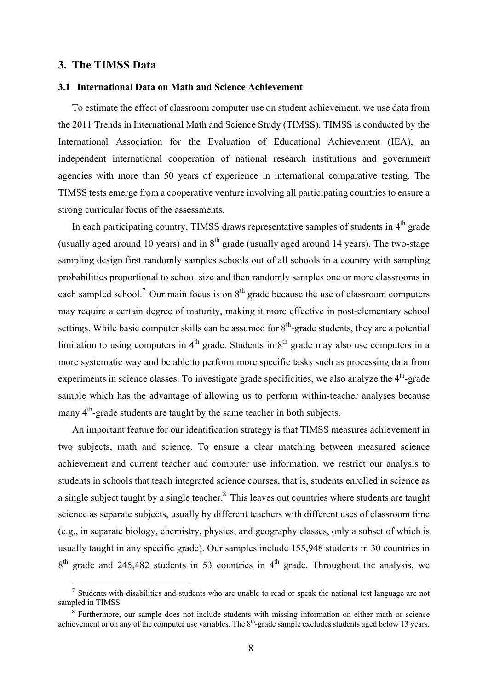#### **3. The TIMSS Data**

#### **3.1 International Data on Math and Science Achievement**

To estimate the effect of classroom computer use on student achievement, we use data from the 2011 Trends in International Math and Science Study (TIMSS). TIMSS is conducted by the International Association for the Evaluation of Educational Achievement (IEA), an independent international cooperation of national research institutions and government agencies with more than 50 years of experience in international comparative testing. The TIMSS tests emerge from a cooperative venture involving all participating countries to ensure a strong curricular focus of the assessments.

In each participating country, TIMSS draws representative samples of students in  $4<sup>th</sup>$  grade (usually aged around 10 years) and in  $8<sup>th</sup>$  grade (usually aged around 14 years). The two-stage sampling design first randomly samples schools out of all schools in a country with sampling probabilities proportional to school size and then randomly samples one or more classrooms in each sampled school.<sup>7</sup> Our main focus is on  $8<sup>th</sup>$  grade because the use of classroom computers may require a certain degree of maturity, making it more effective in post-elementary school settings. While basic computer skills can be assumed for  $8<sup>th</sup>$ -grade students, they are a potential limitation to using computers in  $4<sup>th</sup>$  grade. Students in  $8<sup>th</sup>$  grade may also use computers in a more systematic way and be able to perform more specific tasks such as processing data from experiments in science classes. To investigate grade specificities, we also analyze the 4<sup>th</sup>-grade sample which has the advantage of allowing us to perform within-teacher analyses because many  $4<sup>th</sup>$ -grade students are taught by the same teacher in both subjects.

An important feature for our identification strategy is that TIMSS measures achievement in two subjects, math and science. To ensure a clear matching between measured science achievement and current teacher and computer use information, we restrict our analysis to students in schools that teach integrated science courses, that is, students enrolled in science as a single subject taught by a single teacher.<sup>8</sup> This leaves out countries where students are taught science as separate subjects, usually by different teachers with different uses of classroom time (e.g., in separate biology, chemistry, physics, and geography classes, only a subset of which is usually taught in any specific grade). Our samples include 155,948 students in 30 countries in  $8<sup>th</sup>$  grade and 245,482 students in 53 countries in 4<sup>th</sup> grade. Throughout the analysis, we

<sup>&</sup>lt;sup>7</sup> Students with disabilities and students who are unable to read or speak the national test language are not sampled in TIMSS.

<sup>&</sup>lt;sup>8</sup> Furthermore, our sample does not include students with missing information on either math or science achievement or on any of the computer use variables. The  $8<sup>th</sup>$ -grade sample excludes students aged below 13 years.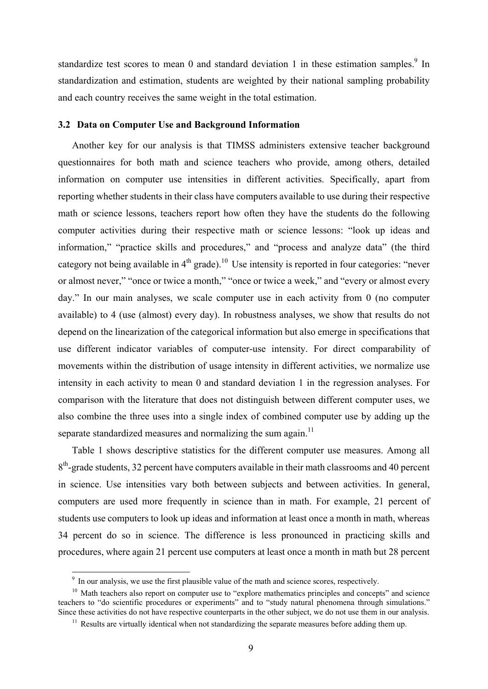standardize test scores to mean 0 and standard deviation 1 in these estimation samples.<sup>9</sup> In standardization and estimation, students are weighted by their national sampling probability and each country receives the same weight in the total estimation.

#### **3.2 Data on Computer Use and Background Information**

Another key for our analysis is that TIMSS administers extensive teacher background questionnaires for both math and science teachers who provide, among others, detailed information on computer use intensities in different activities. Specifically, apart from reporting whether students in their class have computers available to use during their respective math or science lessons, teachers report how often they have the students do the following computer activities during their respective math or science lessons: "look up ideas and information," "practice skills and procedures," and "process and analyze data" (the third category not being available in  $4<sup>th</sup>$  grade).<sup>10</sup> Use intensity is reported in four categories: "never or almost never," "once or twice a month," "once or twice a week," and "every or almost every day." In our main analyses, we scale computer use in each activity from 0 (no computer available) to 4 (use (almost) every day). In robustness analyses, we show that results do not depend on the linearization of the categorical information but also emerge in specifications that use different indicator variables of computer-use intensity. For direct comparability of movements within the distribution of usage intensity in different activities, we normalize use intensity in each activity to mean 0 and standard deviation 1 in the regression analyses. For comparison with the literature that does not distinguish between different computer uses, we also combine the three uses into a single index of combined computer use by adding up the separate standardized measures and normalizing the sum again.<sup>11</sup>

Table 1 shows descriptive statistics for the different computer use measures. Among all  $8<sup>th</sup>$ -grade students, 32 percent have computers available in their math classrooms and 40 percent in science. Use intensities vary both between subjects and between activities. In general, computers are used more frequently in science than in math. For example, 21 percent of students use computers to look up ideas and information at least once a month in math, whereas 34 percent do so in science. The difference is less pronounced in practicing skills and procedures, where again 21 percent use computers at least once a month in math but 28 percent

 $\overline{a}$ 

<sup>&</sup>lt;sup>9</sup> In our analysis, we use the first plausible value of the math and science scores, respectively.

<sup>&</sup>lt;sup>10</sup> Math teachers also report on computer use to "explore mathematics principles and concepts" and science teachers to "do scientific procedures or experiments" and to "study natural phenomena through simulations." Since these activities do not have respective counterparts in the other subject, we do not use them in our analysis.

 $11$  Results are virtually identical when not standardizing the separate measures before adding them up.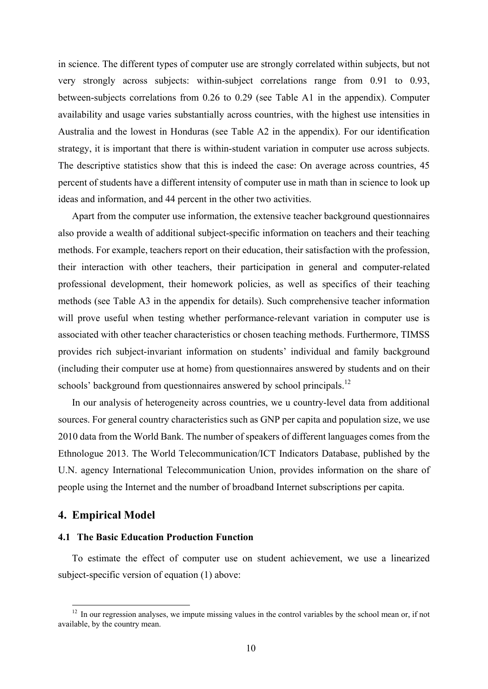in science. The different types of computer use are strongly correlated within subjects, but not very strongly across subjects: within-subject correlations range from 0.91 to 0.93, between-subjects correlations from 0.26 to 0.29 (see Table A1 in the appendix). Computer availability and usage varies substantially across countries, with the highest use intensities in Australia and the lowest in Honduras (see Table A2 in the appendix). For our identification strategy, it is important that there is within-student variation in computer use across subjects. The descriptive statistics show that this is indeed the case: On average across countries, 45 percent of students have a different intensity of computer use in math than in science to look up ideas and information, and 44 percent in the other two activities.

Apart from the computer use information, the extensive teacher background questionnaires also provide a wealth of additional subject-specific information on teachers and their teaching methods. For example, teachers report on their education, their satisfaction with the profession, their interaction with other teachers, their participation in general and computer-related professional development, their homework policies, as well as specifics of their teaching methods (see Table A3 in the appendix for details). Such comprehensive teacher information will prove useful when testing whether performance-relevant variation in computer use is associated with other teacher characteristics or chosen teaching methods. Furthermore, TIMSS provides rich subject-invariant information on students' individual and family background (including their computer use at home) from questionnaires answered by students and on their schools' background from questionnaires answered by school principals.<sup>12</sup>

In our analysis of heterogeneity across countries, we u country-level data from additional sources. For general country characteristics such as GNP per capita and population size, we use 2010 data from the World Bank. The number of speakers of different languages comes from the Ethnologue 2013. The World Telecommunication/ICT Indicators Database, published by the U.N. agency International Telecommunication Union, provides information on the share of people using the Internet and the number of broadband Internet subscriptions per capita.

#### **4. Empirical Model**

 $\overline{a}$ 

#### **4.1 The Basic Education Production Function**

To estimate the effect of computer use on student achievement, we use a linearized subject-specific version of equation (1) above:

 $12$  In our regression analyses, we impute missing values in the control variables by the school mean or, if not available, by the country mean.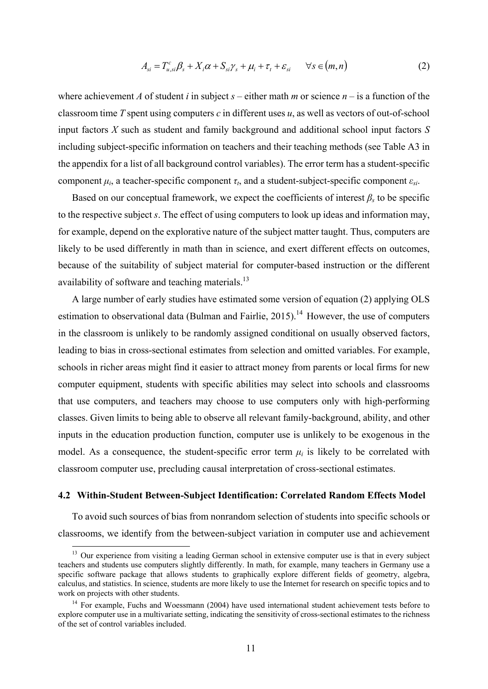$$
A_{si} = T_{u,si}^c \beta_s + X_i \alpha + S_{si} \gamma_s + \mu_i + \tau_t + \varepsilon_{si} \qquad \forall s \in (m, n)
$$
 (2)

where achievement *A* of student *i* in subject  $s$  – either math *m* or science  $n -$  is a function of the classroom time *T* spent using computers *c* in different uses *u*, as well as vectors of out-of-school input factors *X* such as student and family background and additional school input factors *S* including subject-specific information on teachers and their teaching methods (see Table A3 in the appendix for a list of all background control variables). The error term has a student-specific component  $\mu_i$ , a teacher-specific component  $\tau_i$ , and a student-subject-specific component  $\varepsilon_{si}$ .

Based on our conceptual framework, we expect the coefficients of interest  $\beta_s$  to be specific to the respective subject *s*. The effect of using computers to look up ideas and information may, for example, depend on the explorative nature of the subject matter taught. Thus, computers are likely to be used differently in math than in science, and exert different effects on outcomes, because of the suitability of subject material for computer-based instruction or the different availability of software and teaching materials. $^{13}$ 

A large number of early studies have estimated some version of equation (2) applying OLS estimation to observational data (Bulman and Fairlie, 2015).<sup>14</sup> However, the use of computers in the classroom is unlikely to be randomly assigned conditional on usually observed factors, leading to bias in cross-sectional estimates from selection and omitted variables. For example, schools in richer areas might find it easier to attract money from parents or local firms for new computer equipment, students with specific abilities may select into schools and classrooms that use computers, and teachers may choose to use computers only with high-performing classes. Given limits to being able to observe all relevant family-background, ability, and other inputs in the education production function, computer use is unlikely to be exogenous in the model. As a consequence, the student-specific error term  $\mu_i$  is likely to be correlated with classroom computer use, precluding causal interpretation of cross-sectional estimates.

#### **4.2 Within-Student Between-Subject Identification: Correlated Random Effects Model**

To avoid such sources of bias from nonrandom selection of students into specific schools or classrooms, we identify from the between-subject variation in computer use and achievement

 $\overline{a}$ 

<sup>&</sup>lt;sup>13</sup> Our experience from visiting a leading German school in extensive computer use is that in every subject teachers and students use computers slightly differently. In math, for example, many teachers in Germany use a specific software package that allows students to graphically explore different fields of geometry, algebra, calculus, and statistics. In science, students are more likely to use the Internet for research on specific topics and to work on projects with other students.

<sup>&</sup>lt;sup>14</sup> For example, Fuchs and Woessmann (2004) have used international student achievement tests before to explore computer use in a multivariate setting, indicating the sensitivity of cross-sectional estimates to the richness of the set of control variables included.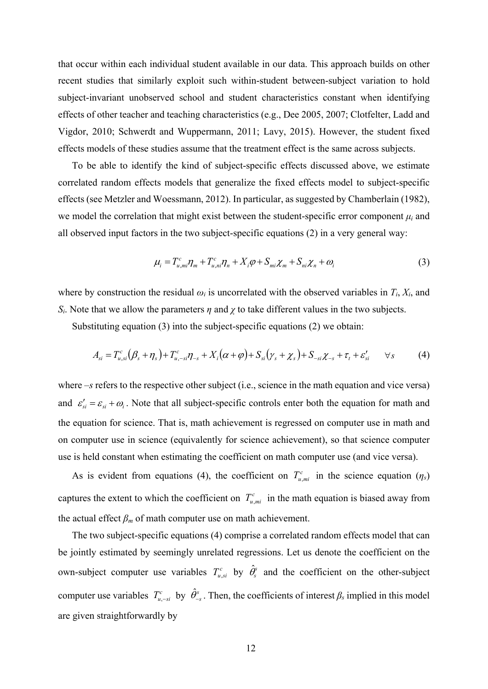that occur within each individual student available in our data. This approach builds on other recent studies that similarly exploit such within-student between-subject variation to hold subject-invariant unobserved school and student characteristics constant when identifying effects of other teacher and teaching characteristics (e.g., Dee 2005, 2007; Clotfelter, Ladd and Vigdor, 2010; Schwerdt and Wuppermann, 2011; Lavy, 2015). However, the student fixed effects models of these studies assume that the treatment effect is the same across subjects.

To be able to identify the kind of subject-specific effects discussed above, we estimate correlated random effects models that generalize the fixed effects model to subject-specific effects (see Metzler and Woessmann, 2012). In particular, as suggested by Chamberlain (1982), we model the correlation that might exist between the student-specific error component  $\mu_i$  and all observed input factors in the two subject-specific equations (2) in a very general way:

$$
\mu_i = T_{u,m}^c \eta_m + T_{u,n}^c \eta_n + X_i \varphi + S_{mi} \chi_m + S_{ni} \chi_n + \omega_i \tag{3}
$$

where by construction the residual  $\omega_i$  is uncorrelated with the observed variables in  $T_i$ ,  $X_i$ , and *S<sub>i</sub>*. Note that we allow the parameters  $\eta$  and  $\chi$  to take different values in the two subjects.

Substituting equation (3) into the subject-specific equations (2) we obtain:

$$
A_{si} = T_{u,si}^c(\beta_s + \eta_s) + T_{u,-si}^c \eta_{-s} + X_i(\alpha + \varphi) + S_{si}(\gamma_s + \chi_s) + S_{-si}\chi_{-s} + \tau_t + \varepsilon'_{si} \qquad \forall s \tag{4}
$$

where –*s* refers to the respective other subject (i.e., science in the math equation and vice versa) and  $\varepsilon'_{si} = \varepsilon_{si} + \omega_i$ . Note that all subject-specific controls enter both the equation for math and the equation for science. That is, math achievement is regressed on computer use in math and on computer use in science (equivalently for science achievement), so that science computer use is held constant when estimating the coefficient on math computer use (and vice versa).

As is evident from equations (4), the coefficient on  $T_{u,mi}^c$  in the science equation ( $\eta_s$ ) captures the extent to which the coefficient on  $T_{u,mi}^c$  in the math equation is biased away from the actual effect  $\beta_m$  of math computer use on math achievement.

The two subject-specific equations (4) comprise a correlated random effects model that can be jointly estimated by seemingly unrelated regressions. Let us denote the coefficient on the own-subject computer use variables  $T_{u,si}^c$  by  $\hat{\theta}_s^s$  and the coefficient on the other-subject computer use variables  $T_{u,-si}^c$  by  $\hat{\theta}_{-s}^s$ . Then, the coefficients of interest  $\beta_s$  implied in this model are given straightforwardly by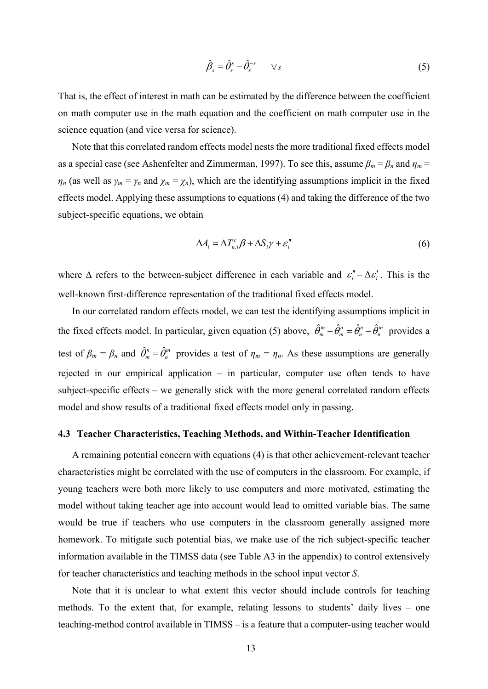$$
\hat{\beta}_s = \hat{\theta}_s^s - \hat{\theta}_s^{-s} \qquad \forall s \tag{5}
$$

That is, the effect of interest in math can be estimated by the difference between the coefficient on math computer use in the math equation and the coefficient on math computer use in the science equation (and vice versa for science).

Note that this correlated random effects model nests the more traditional fixed effects model as a special case (see Ashenfelter and Zimmerman, 1997). To see this, assume  $\beta_m = \beta_n$  and  $\eta_m =$  $\eta_n$  (as well as  $\gamma_m = \gamma_n$  and  $\chi_m = \chi_n$ ), which are the identifying assumptions implicit in the fixed effects model. Applying these assumptions to equations (4) and taking the difference of the two subject-specific equations, we obtain

$$
\Delta A_i = \Delta T_{u,i}^c \beta + \Delta S_i \gamma + \varepsilon_i'' \tag{6}
$$

where  $\Delta$  refers to the between-subject difference in each variable and  $\varepsilon_i'' = \Delta \varepsilon_i'$ . This is the well-known first-difference representation of the traditional fixed effects model.

In our correlated random effects model, we can test the identifying assumptions implicit in the fixed effects model. In particular, given equation (5) above,  $\hat{\theta}_m^m - \hat{\theta}_m^m = \hat{\theta}_n^n - \hat{\theta}_n^m$ *n n n*  $\hat{\theta}_m^m - \hat{\theta}_m^n = \hat{\theta}_n^m - \hat{\theta}_n^m$  provides a test of  $\beta_m = \beta_n$  and  $\hat{\theta}_m^n = \hat{\theta}_n^m$  provides a test of  $\eta_m = \eta_n$ . As these assumptions are generally rejected in our empirical application – in particular, computer use often tends to have subject-specific effects – we generally stick with the more general correlated random effects model and show results of a traditional fixed effects model only in passing.

#### **4.3 Teacher Characteristics, Teaching Methods, and Within-Teacher Identification**

A remaining potential concern with equations (4) is that other achievement-relevant teacher characteristics might be correlated with the use of computers in the classroom. For example, if young teachers were both more likely to use computers and more motivated, estimating the model without taking teacher age into account would lead to omitted variable bias. The same would be true if teachers who use computers in the classroom generally assigned more homework. To mitigate such potential bias, we make use of the rich subject-specific teacher information available in the TIMSS data (see Table A3 in the appendix) to control extensively for teacher characteristics and teaching methods in the school input vector *S*.

Note that it is unclear to what extent this vector should include controls for teaching methods. To the extent that, for example, relating lessons to students' daily lives – one teaching-method control available in TIMSS – is a feature that a computer-using teacher would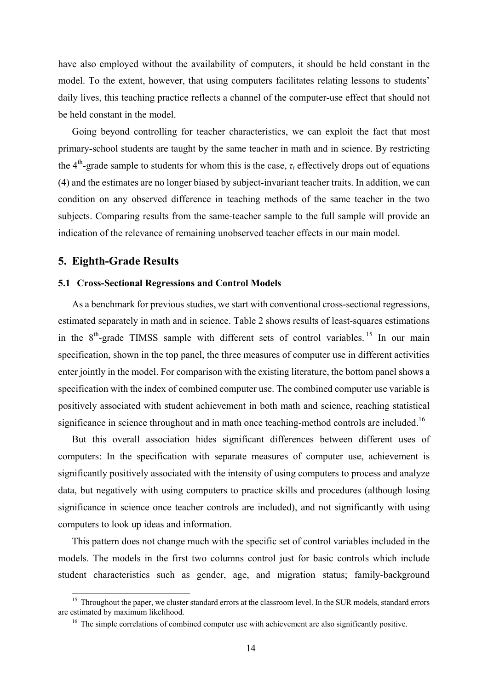have also employed without the availability of computers, it should be held constant in the model. To the extent, however, that using computers facilitates relating lessons to students' daily lives, this teaching practice reflects a channel of the computer-use effect that should not be held constant in the model.

Going beyond controlling for teacher characteristics, we can exploit the fact that most primary-school students are taught by the same teacher in math and in science. By restricting the 4<sup>th</sup>-grade sample to students for whom this is the case,  $\tau_t$  effectively drops out of equations (4) and the estimates are no longer biased by subject-invariant teacher traits. In addition, we can condition on any observed difference in teaching methods of the same teacher in the two subjects. Comparing results from the same-teacher sample to the full sample will provide an indication of the relevance of remaining unobserved teacher effects in our main model.

#### **5. Eighth-Grade Results**

 $\overline{a}$ 

#### **5.1 Cross-Sectional Regressions and Control Models**

As a benchmark for previous studies, we start with conventional cross-sectional regressions, estimated separately in math and in science. Table 2 shows results of least-squares estimations in the  $8<sup>th</sup>$ -grade TIMSS sample with different sets of control variables.<sup>15</sup> In our main specification, shown in the top panel, the three measures of computer use in different activities enter jointly in the model. For comparison with the existing literature, the bottom panel shows a specification with the index of combined computer use. The combined computer use variable is positively associated with student achievement in both math and science, reaching statistical significance in science throughout and in math once teaching-method controls are included.<sup>16</sup>

But this overall association hides significant differences between different uses of computers: In the specification with separate measures of computer use, achievement is significantly positively associated with the intensity of using computers to process and analyze data, but negatively with using computers to practice skills and procedures (although losing significance in science once teacher controls are included), and not significantly with using computers to look up ideas and information.

This pattern does not change much with the specific set of control variables included in the models. The models in the first two columns control just for basic controls which include student characteristics such as gender, age, and migration status; family-background

<sup>&</sup>lt;sup>15</sup> Throughout the paper, we cluster standard errors at the classroom level. In the SUR models, standard errors are estimated by maximum likelihood.

<sup>&</sup>lt;sup>16</sup> The simple correlations of combined computer use with achievement are also significantly positive.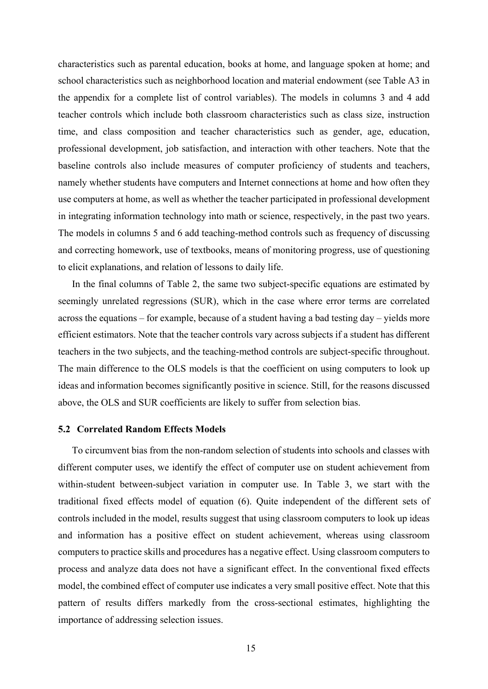characteristics such as parental education, books at home, and language spoken at home; and school characteristics such as neighborhood location and material endowment (see Table A3 in the appendix for a complete list of control variables). The models in columns 3 and 4 add teacher controls which include both classroom characteristics such as class size, instruction time, and class composition and teacher characteristics such as gender, age, education, professional development, job satisfaction, and interaction with other teachers. Note that the baseline controls also include measures of computer proficiency of students and teachers, namely whether students have computers and Internet connections at home and how often they use computers at home, as well as whether the teacher participated in professional development in integrating information technology into math or science, respectively, in the past two years. The models in columns 5 and 6 add teaching-method controls such as frequency of discussing and correcting homework, use of textbooks, means of monitoring progress, use of questioning to elicit explanations, and relation of lessons to daily life.

In the final columns of Table 2, the same two subject-specific equations are estimated by seemingly unrelated regressions (SUR), which in the case where error terms are correlated across the equations – for example, because of a student having a bad testing day – yields more efficient estimators. Note that the teacher controls vary across subjects if a student has different teachers in the two subjects, and the teaching-method controls are subject-specific throughout. The main difference to the OLS models is that the coefficient on using computers to look up ideas and information becomes significantly positive in science. Still, for the reasons discussed above, the OLS and SUR coefficients are likely to suffer from selection bias.

#### **5.2 Correlated Random Effects Models**

To circumvent bias from the non-random selection of students into schools and classes with different computer uses, we identify the effect of computer use on student achievement from within-student between-subject variation in computer use. In Table 3, we start with the traditional fixed effects model of equation (6). Quite independent of the different sets of controls included in the model, results suggest that using classroom computers to look up ideas and information has a positive effect on student achievement, whereas using classroom computers to practice skills and procedures has a negative effect. Using classroom computers to process and analyze data does not have a significant effect. In the conventional fixed effects model, the combined effect of computer use indicates a very small positive effect. Note that this pattern of results differs markedly from the cross-sectional estimates, highlighting the importance of addressing selection issues.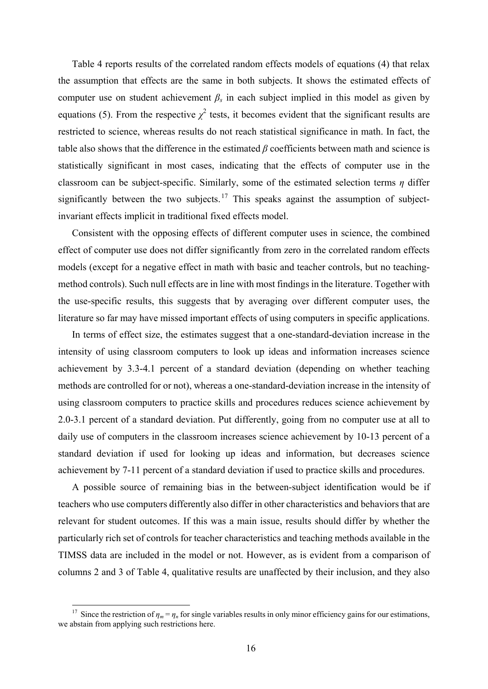Table 4 reports results of the correlated random effects models of equations (4) that relax the assumption that effects are the same in both subjects. It shows the estimated effects of computer use on student achievement  $\beta_s$  in each subject implied in this model as given by equations (5). From the respective  $\chi^2$  tests, it becomes evident that the significant results are restricted to science, whereas results do not reach statistical significance in math. In fact, the table also shows that the difference in the estimated *β* coefficients between math and science is statistically significant in most cases, indicating that the effects of computer use in the classroom can be subject-specific. Similarly, some of the estimated selection terms *η* differ significantly between the two subjects.<sup>17</sup> This speaks against the assumption of subjectinvariant effects implicit in traditional fixed effects model.

Consistent with the opposing effects of different computer uses in science, the combined effect of computer use does not differ significantly from zero in the correlated random effects models (except for a negative effect in math with basic and teacher controls, but no teachingmethod controls). Such null effects are in line with most findings in the literature. Together with the use-specific results, this suggests that by averaging over different computer uses, the literature so far may have missed important effects of using computers in specific applications.

In terms of effect size, the estimates suggest that a one-standard-deviation increase in the intensity of using classroom computers to look up ideas and information increases science achievement by 3.3-4.1 percent of a standard deviation (depending on whether teaching methods are controlled for or not), whereas a one-standard-deviation increase in the intensity of using classroom computers to practice skills and procedures reduces science achievement by 2.0-3.1 percent of a standard deviation. Put differently, going from no computer use at all to daily use of computers in the classroom increases science achievement by 10-13 percent of a standard deviation if used for looking up ideas and information, but decreases science achievement by 7-11 percent of a standard deviation if used to practice skills and procedures.

A possible source of remaining bias in the between-subject identification would be if teachers who use computers differently also differ in other characteristics and behaviors that are relevant for student outcomes. If this was a main issue, results should differ by whether the particularly rich set of controls for teacher characteristics and teaching methods available in the TIMSS data are included in the model or not. However, as is evident from a comparison of columns 2 and 3 of Table 4, qualitative results are unaffected by their inclusion, and they also

 $\overline{a}$ 

<sup>&</sup>lt;sup>17</sup> Since the restriction of  $\eta_m = \eta_n$  for single variables results in only minor efficiency gains for our estimations, we abstain from applying such restrictions here.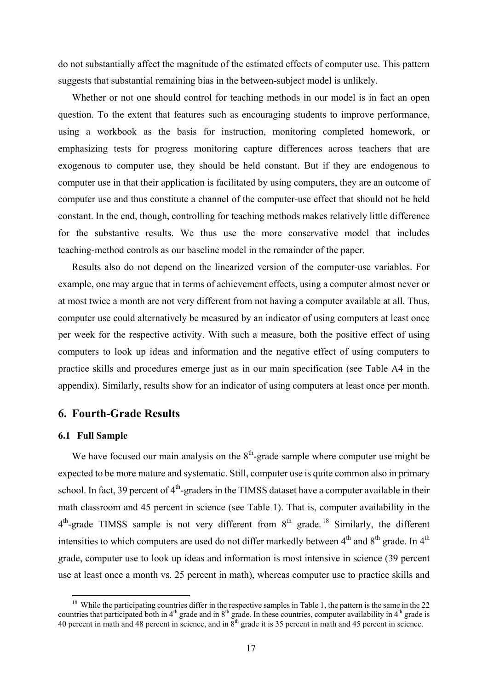do not substantially affect the magnitude of the estimated effects of computer use. This pattern suggests that substantial remaining bias in the between-subject model is unlikely.

Whether or not one should control for teaching methods in our model is in fact an open question. To the extent that features such as encouraging students to improve performance, using a workbook as the basis for instruction, monitoring completed homework, or emphasizing tests for progress monitoring capture differences across teachers that are exogenous to computer use, they should be held constant. But if they are endogenous to computer use in that their application is facilitated by using computers, they are an outcome of computer use and thus constitute a channel of the computer-use effect that should not be held constant. In the end, though, controlling for teaching methods makes relatively little difference for the substantive results. We thus use the more conservative model that includes teaching-method controls as our baseline model in the remainder of the paper.

Results also do not depend on the linearized version of the computer-use variables. For example, one may argue that in terms of achievement effects, using a computer almost never or at most twice a month are not very different from not having a computer available at all. Thus, computer use could alternatively be measured by an indicator of using computers at least once per week for the respective activity. With such a measure, both the positive effect of using computers to look up ideas and information and the negative effect of using computers to practice skills and procedures emerge just as in our main specification (see Table A4 in the appendix). Similarly, results show for an indicator of using computers at least once per month.

#### **6. Fourth-Grade Results**

#### **6.1 Full Sample**

 $\overline{a}$ 

We have focused our main analysis on the  $8<sup>th</sup>$ -grade sample where computer use might be expected to be more mature and systematic. Still, computer use is quite common also in primary school. In fact, 39 percent of  $4<sup>th</sup>$ -graders in the TIMSS dataset have a computer available in their math classroom and 45 percent in science (see Table 1). That is, computer availability in the  $4<sup>th</sup>$ -grade TIMSS sample is not very different from  $8<sup>th</sup>$  grade. <sup>18</sup> Similarly, the different intensities to which computers are used do not differ markedly between  $4<sup>th</sup>$  and  $8<sup>th</sup>$  grade. In  $4<sup>th</sup>$ grade, computer use to look up ideas and information is most intensive in science (39 percent use at least once a month vs. 25 percent in math), whereas computer use to practice skills and

<sup>&</sup>lt;sup>18</sup> While the participating countries differ in the respective samples in Table 1, the pattern is the same in the 22 countries that participated both in  $4<sup>th</sup>$  grade and in  $8<sup>th</sup>$  grade. In these countries, computer availability in  $4<sup>th</sup>$  grade is 40 percent in math and 48 percent in science, and in  $8<sup>th</sup>$  grade it is 35 percent in math and 45 percent in science.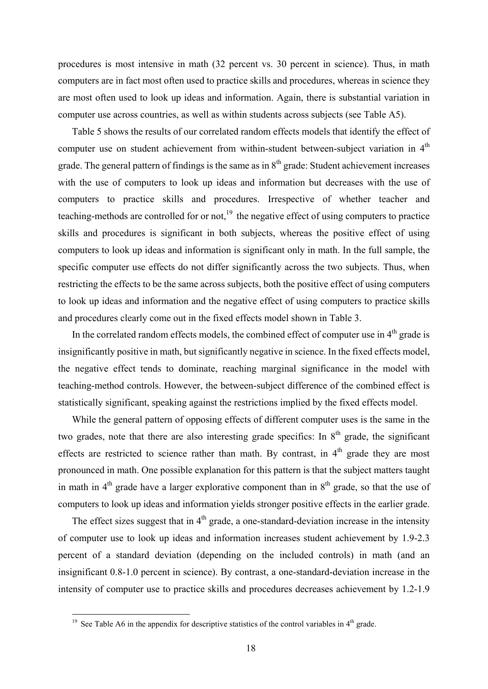procedures is most intensive in math (32 percent vs. 30 percent in science). Thus, in math computers are in fact most often used to practice skills and procedures, whereas in science they are most often used to look up ideas and information. Again, there is substantial variation in computer use across countries, as well as within students across subjects (see Table A5).

Table 5 shows the results of our correlated random effects models that identify the effect of computer use on student achievement from within-student between-subject variation in  $4<sup>th</sup>$ grade. The general pattern of findings is the same as in  $8<sup>th</sup>$  grade: Student achievement increases with the use of computers to look up ideas and information but decreases with the use of computers to practice skills and procedures. Irrespective of whether teacher and teaching-methods are controlled for or not,<sup>19</sup> the negative effect of using computers to practice skills and procedures is significant in both subjects, whereas the positive effect of using computers to look up ideas and information is significant only in math. In the full sample, the specific computer use effects do not differ significantly across the two subjects. Thus, when restricting the effects to be the same across subjects, both the positive effect of using computers to look up ideas and information and the negative effect of using computers to practice skills and procedures clearly come out in the fixed effects model shown in Table 3.

In the correlated random effects models, the combined effect of computer use in  $4<sup>th</sup>$  grade is insignificantly positive in math, but significantly negative in science. In the fixed effects model, the negative effect tends to dominate, reaching marginal significance in the model with teaching-method controls. However, the between-subject difference of the combined effect is statistically significant, speaking against the restrictions implied by the fixed effects model.

While the general pattern of opposing effects of different computer uses is the same in the two grades, note that there are also interesting grade specifics: In  $8<sup>th</sup>$  grade, the significant effects are restricted to science rather than math. By contrast, in  $4<sup>th</sup>$  grade they are most pronounced in math. One possible explanation for this pattern is that the subject matters taught in math in  $4<sup>th</sup>$  grade have a larger explorative component than in  $8<sup>th</sup>$  grade, so that the use of computers to look up ideas and information yields stronger positive effects in the earlier grade.

The effect sizes suggest that in  $4<sup>th</sup>$  grade, a one-standard-deviation increase in the intensity of computer use to look up ideas and information increases student achievement by 1.9-2.3 percent of a standard deviation (depending on the included controls) in math (and an insignificant 0.8-1.0 percent in science). By contrast, a one-standard-deviation increase in the intensity of computer use to practice skills and procedures decreases achievement by 1.2-1.9

 $\overline{a}$ 

<sup>&</sup>lt;sup>19</sup> See Table A6 in the appendix for descriptive statistics of the control variables in  $4<sup>th</sup>$  grade.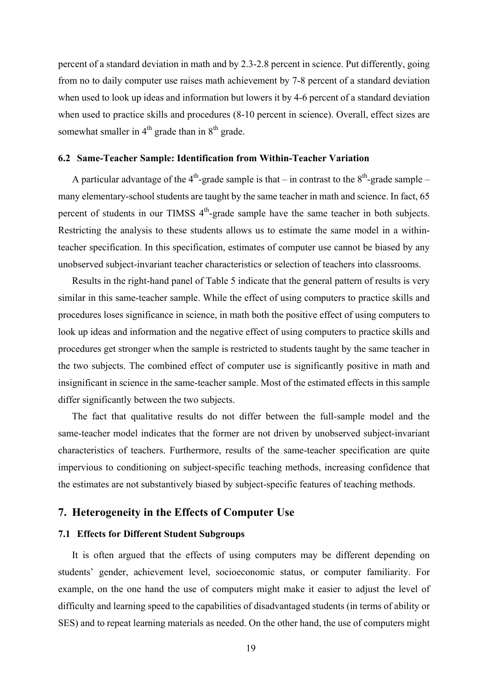percent of a standard deviation in math and by 2.3-2.8 percent in science. Put differently, going from no to daily computer use raises math achievement by 7-8 percent of a standard deviation when used to look up ideas and information but lowers it by 4-6 percent of a standard deviation when used to practice skills and procedures  $(8-10)$  percent in science). Overall, effect sizes are somewhat smaller in  $4<sup>th</sup>$  grade than in  $8<sup>th</sup>$  grade.

#### **6.2 Same-Teacher Sample: Identification from Within-Teacher Variation**

A particular advantage of the  $4<sup>th</sup>$ -grade sample is that – in contrast to the  $8<sup>th</sup>$ -grade sample – many elementary-school students are taught by the same teacher in math and science. In fact, 65 percent of students in our TIMSS  $4<sup>th</sup>$ -grade sample have the same teacher in both subjects. Restricting the analysis to these students allows us to estimate the same model in a withinteacher specification. In this specification, estimates of computer use cannot be biased by any unobserved subject-invariant teacher characteristics or selection of teachers into classrooms.

Results in the right-hand panel of Table 5 indicate that the general pattern of results is very similar in this same-teacher sample. While the effect of using computers to practice skills and procedures loses significance in science, in math both the positive effect of using computers to look up ideas and information and the negative effect of using computers to practice skills and procedures get stronger when the sample is restricted to students taught by the same teacher in the two subjects. The combined effect of computer use is significantly positive in math and insignificant in science in the same-teacher sample. Most of the estimated effects in this sample differ significantly between the two subjects.

The fact that qualitative results do not differ between the full-sample model and the same-teacher model indicates that the former are not driven by unobserved subject-invariant characteristics of teachers. Furthermore, results of the same-teacher specification are quite impervious to conditioning on subject-specific teaching methods, increasing confidence that the estimates are not substantively biased by subject-specific features of teaching methods.

## **7. Heterogeneity in the Effects of Computer Use**

#### **7.1 Effects for Different Student Subgroups**

It is often argued that the effects of using computers may be different depending on students' gender, achievement level, socioeconomic status, or computer familiarity. For example, on the one hand the use of computers might make it easier to adjust the level of difficulty and learning speed to the capabilities of disadvantaged students (in terms of ability or SES) and to repeat learning materials as needed. On the other hand, the use of computers might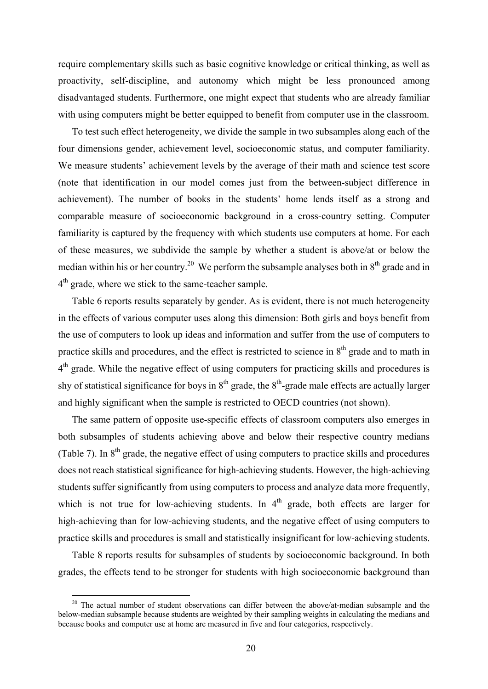require complementary skills such as basic cognitive knowledge or critical thinking, as well as proactivity, self-discipline, and autonomy which might be less pronounced among disadvantaged students. Furthermore, one might expect that students who are already familiar with using computers might be better equipped to benefit from computer use in the classroom.

To test such effect heterogeneity, we divide the sample in two subsamples along each of the four dimensions gender, achievement level, socioeconomic status, and computer familiarity. We measure students' achievement levels by the average of their math and science test score (note that identification in our model comes just from the between-subject difference in achievement). The number of books in the students' home lends itself as a strong and comparable measure of socioeconomic background in a cross-country setting. Computer familiarity is captured by the frequency with which students use computers at home. For each of these measures, we subdivide the sample by whether a student is above/at or below the median within his or her country.<sup>20</sup> We perform the subsample analyses both in  $8<sup>th</sup>$  grade and in  $4<sup>th</sup>$  grade, where we stick to the same-teacher sample.

Table 6 reports results separately by gender. As is evident, there is not much heterogeneity in the effects of various computer uses along this dimension: Both girls and boys benefit from the use of computers to look up ideas and information and suffer from the use of computers to practice skills and procedures, and the effect is restricted to science in  $8<sup>th</sup>$  grade and to math in 4<sup>th</sup> grade. While the negative effect of using computers for practicing skills and procedures is shy of statistical significance for boys in  $8<sup>th</sup>$  grade, the  $8<sup>th</sup>$ -grade male effects are actually larger and highly significant when the sample is restricted to OECD countries (not shown).

The same pattern of opposite use-specific effects of classroom computers also emerges in both subsamples of students achieving above and below their respective country medians (Table 7). In  $8<sup>th</sup>$  grade, the negative effect of using computers to practice skills and procedures does not reach statistical significance for high-achieving students. However, the high-achieving students suffer significantly from using computers to process and analyze data more frequently, which is not true for low-achieving students. In  $4<sup>th</sup>$  grade, both effects are larger for high-achieving than for low-achieving students, and the negative effect of using computers to practice skills and procedures is small and statistically insignificant for low-achieving students.

Table 8 reports results for subsamples of students by socioeconomic background. In both grades, the effects tend to be stronger for students with high socioeconomic background than

 $\overline{a}$ 

 $20$  The actual number of student observations can differ between the above/at-median subsample and the below-median subsample because students are weighted by their sampling weights in calculating the medians and because books and computer use at home are measured in five and four categories, respectively.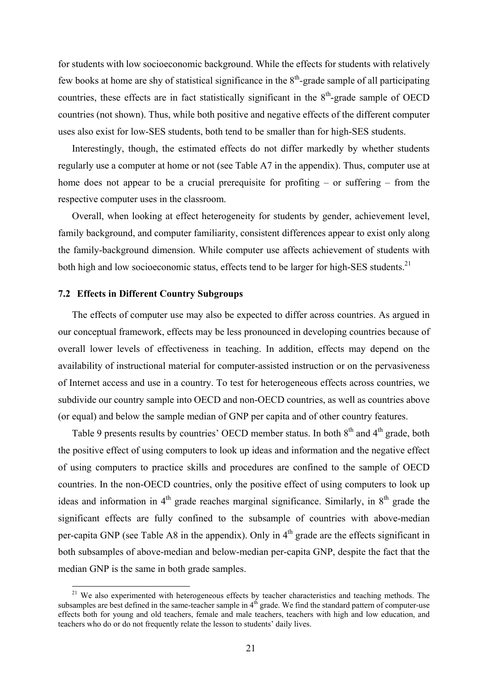for students with low socioeconomic background. While the effects for students with relatively few books at home are shy of statistical significance in the  $8<sup>th</sup>$ -grade sample of all participating countries, these effects are in fact statistically significant in the  $8<sup>th</sup>$ -grade sample of OECD countries (not shown). Thus, while both positive and negative effects of the different computer uses also exist for low-SES students, both tend to be smaller than for high-SES students.

Interestingly, though, the estimated effects do not differ markedly by whether students regularly use a computer at home or not (see Table A7 in the appendix). Thus, computer use at home does not appear to be a crucial prerequisite for profiting – or suffering – from the respective computer uses in the classroom.

Overall, when looking at effect heterogeneity for students by gender, achievement level, family background, and computer familiarity, consistent differences appear to exist only along the family-background dimension. While computer use affects achievement of students with both high and low socioeconomic status, effects tend to be larger for high-SES students.<sup>21</sup>

#### **7.2 Effects in Different Country Subgroups**

 $\overline{a}$ 

The effects of computer use may also be expected to differ across countries. As argued in our conceptual framework, effects may be less pronounced in developing countries because of overall lower levels of effectiveness in teaching. In addition, effects may depend on the availability of instructional material for computer-assisted instruction or on the pervasiveness of Internet access and use in a country. To test for heterogeneous effects across countries, we subdivide our country sample into OECD and non-OECD countries, as well as countries above (or equal) and below the sample median of GNP per capita and of other country features.

Table 9 presents results by countries' OECD member status. In both  $8<sup>th</sup>$  and  $4<sup>th</sup>$  grade, both the positive effect of using computers to look up ideas and information and the negative effect of using computers to practice skills and procedures are confined to the sample of OECD countries. In the non-OECD countries, only the positive effect of using computers to look up ideas and information in  $4<sup>th</sup>$  grade reaches marginal significance. Similarly, in  $8<sup>th</sup>$  grade the significant effects are fully confined to the subsample of countries with above-median per-capita GNP (see Table A8 in the appendix). Only in  $4<sup>th</sup>$  grade are the effects significant in both subsamples of above-median and below-median per-capita GNP, despite the fact that the median GNP is the same in both grade samples.

 $21$  We also experimented with heterogeneous effects by teacher characteristics and teaching methods. The subsamples are best defined in the same-teacher sample in  $4<sup>th</sup>$  grade. We find the standard pattern of computer-use effects both for young and old teachers, female and male teachers, teachers with high and low education, and teachers who do or do not frequently relate the lesson to students' daily lives.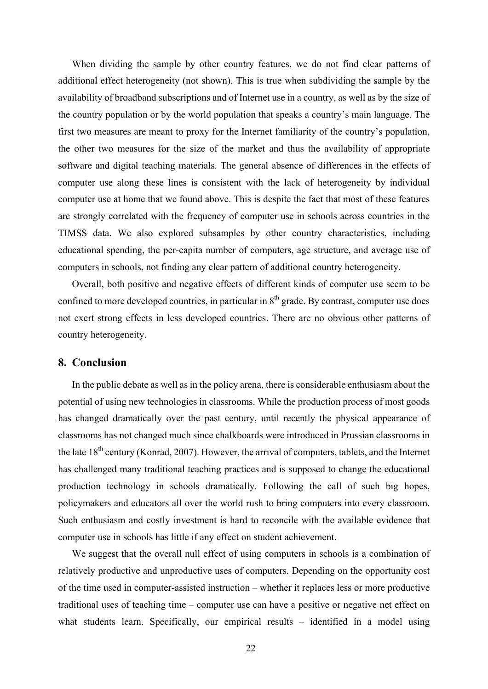When dividing the sample by other country features, we do not find clear patterns of additional effect heterogeneity (not shown). This is true when subdividing the sample by the availability of broadband subscriptions and of Internet use in a country, as well as by the size of the country population or by the world population that speaks a country's main language. The first two measures are meant to proxy for the Internet familiarity of the country's population, the other two measures for the size of the market and thus the availability of appropriate software and digital teaching materials. The general absence of differences in the effects of computer use along these lines is consistent with the lack of heterogeneity by individual computer use at home that we found above. This is despite the fact that most of these features are strongly correlated with the frequency of computer use in schools across countries in the TIMSS data. We also explored subsamples by other country characteristics, including educational spending, the per-capita number of computers, age structure, and average use of computers in schools, not finding any clear pattern of additional country heterogeneity.

Overall, both positive and negative effects of different kinds of computer use seem to be confined to more developed countries, in particular in  $8<sup>th</sup>$  grade. By contrast, computer use does not exert strong effects in less developed countries. There are no obvious other patterns of country heterogeneity.

#### **8. Conclusion**

In the public debate as well as in the policy arena, there is considerable enthusiasm about the potential of using new technologies in classrooms. While the production process of most goods has changed dramatically over the past century, until recently the physical appearance of classrooms has not changed much since chalkboards were introduced in Prussian classrooms in the late  $18<sup>th</sup>$  century (Konrad, 2007). However, the arrival of computers, tablets, and the Internet has challenged many traditional teaching practices and is supposed to change the educational production technology in schools dramatically. Following the call of such big hopes, policymakers and educators all over the world rush to bring computers into every classroom. Such enthusiasm and costly investment is hard to reconcile with the available evidence that computer use in schools has little if any effect on student achievement.

We suggest that the overall null effect of using computers in schools is a combination of relatively productive and unproductive uses of computers. Depending on the opportunity cost of the time used in computer-assisted instruction – whether it replaces less or more productive traditional uses of teaching time – computer use can have a positive or negative net effect on what students learn. Specifically, our empirical results – identified in a model using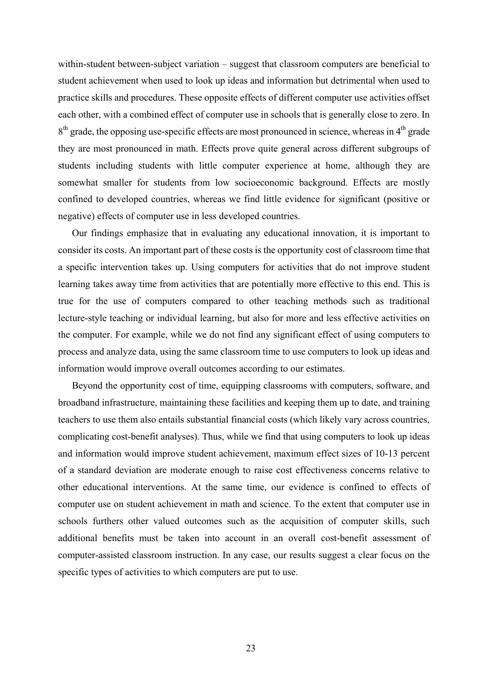within-student between-subject variation – suggest that classroom computers are beneficial to student achievement when used to look up ideas and information but detrimental when used to practice skills and procedures. These opposite effects of different computer use activities offset each other, with a combined effect of computer use in schools that is generally close to zero. In  $8<sup>th</sup>$  grade, the opposing use-specific effects are most pronounced in science, whereas in  $4<sup>th</sup>$  grade they are most pronounced in math. Effects prove quite general across different subgroups of students including students with little computer experience at home, although they are somewhat smaller for students from low socioeconomic background. Effects are mostly confined to developed countries, whereas we find little evidence for significant (positive or negative) effects of computer use in less developed countries.

Our findings emphasize that in evaluating any educational innovation, it is important to consider its costs. An important part of these costs is the opportunity cost of classroom time that a specific intervention takes up. Using computers for activities that do not improve student learning takes away time from activities that are potentially more effective to this end. This is true for the use of computers compared to other teaching methods such as traditional lecture-style teaching or individual learning, but also for more and less effective activities on the computer. For example, while we do not find any significant effect of using computers to process and analyze data, using the same classroom time to use computers to look up ideas and information would improve overall outcomes according to our estimates.

Beyond the opportunity cost of time, equipping classrooms with computers, software, and broadband infrastructure, maintaining these facilities and keeping them up to date, and training teachers to use them also entails substantial financial costs (which likely vary across countries, complicating cost-benefit analyses). Thus, while we find that using computers to look up ideas and information would improve student achievement, maximum effect sizes of 10-13 percent of a standard deviation are moderate enough to raise cost effectiveness concerns relative to other educational interventions. At the same time, our evidence is confined to effects of computer use on student achievement in math and science. To the extent that computer use in schools furthers other valued outcomes such as the acquisition of computer skills, such additional benefits must be taken into account in an overall cost-benefit assessment of computer-assisted classroom instruction. In any case, our results suggest a clear focus on the specific types of activities to which computers are put to use.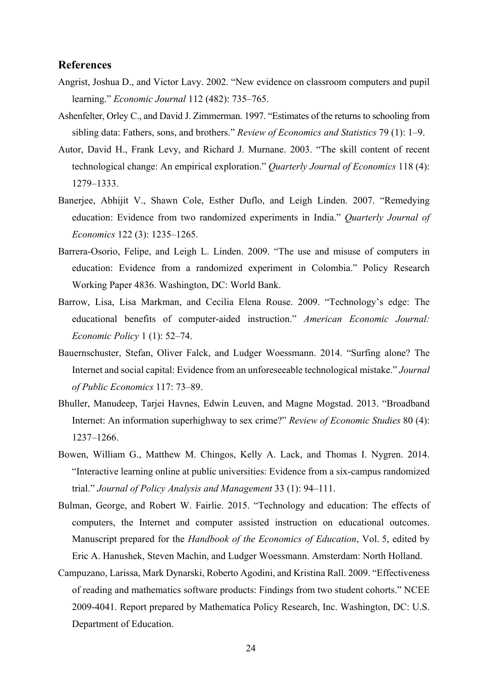#### **References**

- Angrist, Joshua D., and Victor Lavy. 2002. "New evidence on classroom computers and pupil learning." *Economic Journal* 112 (482): 735–765.
- Ashenfelter, Orley C., and David J. Zimmerman. 1997. "Estimates of the returns to schooling from sibling data: Fathers, sons, and brothers." *Review of Economics and Statistics* 79 (1): 1–9.
- Autor, David H., Frank Levy, and Richard J. Murnane. 2003. "The skill content of recent technological change: An empirical exploration." *Quarterly Journal of Economics* 118 (4): 1279–1333.
- Banerjee, Abhijit V., Shawn Cole, Esther Duflo, and Leigh Linden. 2007. "Remedying education: Evidence from two randomized experiments in India." *Quarterly Journal of Economics* 122 (3): 1235–1265.
- Barrera-Osorio, Felipe, and Leigh L. Linden. 2009. "The use and misuse of computers in education: Evidence from a randomized experiment in Colombia." Policy Research Working Paper 4836. Washington, DC: World Bank.
- Barrow, Lisa, Lisa Markman, and Cecilia Elena Rouse. 2009. "Technology's edge: The educational benefits of computer-aided instruction." *American Economic Journal: Economic Policy* 1 (1): 52–74.
- Bauernschuster, Stefan, Oliver Falck, and Ludger Woessmann. 2014. "Surfing alone? The Internet and social capital: Evidence from an unforeseeable technological mistake." *Journal of Public Economics* 117: 73–89.
- Bhuller, Manudeep, Tarjei Havnes, Edwin Leuven, and Magne Mogstad. 2013. "Broadband Internet: An information superhighway to sex crime?" *Review of Economic Studies* 80 (4): 1237–1266.
- Bowen, William G., Matthew M. Chingos, Kelly A. Lack, and Thomas I. Nygren. 2014. "Interactive learning online at public universities: Evidence from a six-campus randomized trial." *Journal of Policy Analysis and Management* 33 (1): 94–111.
- Bulman, George, and Robert W. Fairlie. 2015. "Technology and education: The effects of computers, the Internet and computer assisted instruction on educational outcomes. Manuscript prepared for the *Handbook of the Economics of Education*, Vol. 5, edited by Eric A. Hanushek, Steven Machin, and Ludger Woessmann. Amsterdam: North Holland.
- Campuzano, Larissa, Mark Dynarski, Roberto Agodini, and Kristina Rall. 2009. "Effectiveness of reading and mathematics software products: Findings from two student cohorts." NCEE 2009-4041. Report prepared by Mathematica Policy Research, Inc. Washington, DC: U.S. Department of Education.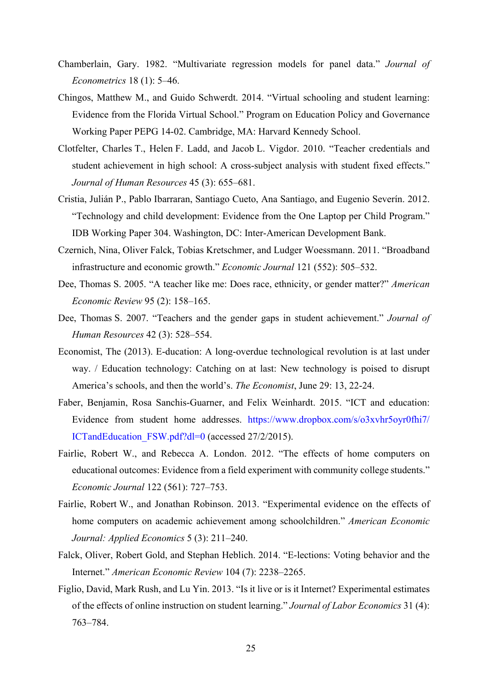- Chamberlain, Gary. 1982. "Multivariate regression models for panel data." *Journal of Econometrics* 18 (1): 5–46.
- Chingos, Matthew M., and Guido Schwerdt. 2014. "Virtual schooling and student learning: Evidence from the Florida Virtual School." Program on Education Policy and Governance Working Paper PEPG 14-02. Cambridge, MA: Harvard Kennedy School.
- Clotfelter, Charles T., Helen F. Ladd, and Jacob L. Vigdor. 2010. "Teacher credentials and student achievement in high school: A cross-subject analysis with student fixed effects." *Journal of Human Resources* 45 (3): 655–681.
- Cristia, Julián P., Pablo Ibarraran, Santiago Cueto, Ana Santiago, and Eugenio Severín. 2012. "Technology and child development: Evidence from the One Laptop per Child Program." IDB Working Paper 304. Washington, DC: Inter-American Development Bank.
- Czernich, Nina, Oliver Falck, Tobias Kretschmer, and Ludger Woessmann. 2011. "Broadband infrastructure and economic growth." *Economic Journal* 121 (552): 505–532.
- Dee, Thomas S. 2005. "A teacher like me: Does race, ethnicity, or gender matter?" *American Economic Review* 95 (2): 158–165.
- Dee, Thomas S. 2007. "Teachers and the gender gaps in student achievement." *Journal of Human Resources* 42 (3): 528–554.
- Economist, The (2013). E-ducation: A long-overdue technological revolution is at last under way. / Education technology: Catching on at last: New technology is poised to disrupt America's schools, and then the world's. *The Economist*, June 29: 13, 22-24.
- Faber, Benjamin, Rosa Sanchis-Guarner, and Felix Weinhardt. 2015. "ICT and education: Evidence from student home addresses. https://www.dropbox.com/s/o3xvhr5oyr0fhi7/ ICTandEducation FSW.pdf?dl=0 (accessed 27/2/2015).
- Fairlie, Robert W., and Rebecca A. London. 2012. "The effects of home computers on educational outcomes: Evidence from a field experiment with community college students." *Economic Journal* 122 (561): 727–753.
- Fairlie, Robert W., and Jonathan Robinson. 2013. "Experimental evidence on the effects of home computers on academic achievement among schoolchildren." *American Economic Journal: Applied Economics* 5 (3): 211–240.
- Falck, Oliver, Robert Gold, and Stephan Heblich. 2014. "E-lections: Voting behavior and the Internet." *American Economic Review* 104 (7): 2238–2265.
- Figlio, David, Mark Rush, and Lu Yin. 2013. "Is it live or is it Internet? Experimental estimates of the effects of online instruction on student learning." *Journal of Labor Economics* 31 (4): 763–784.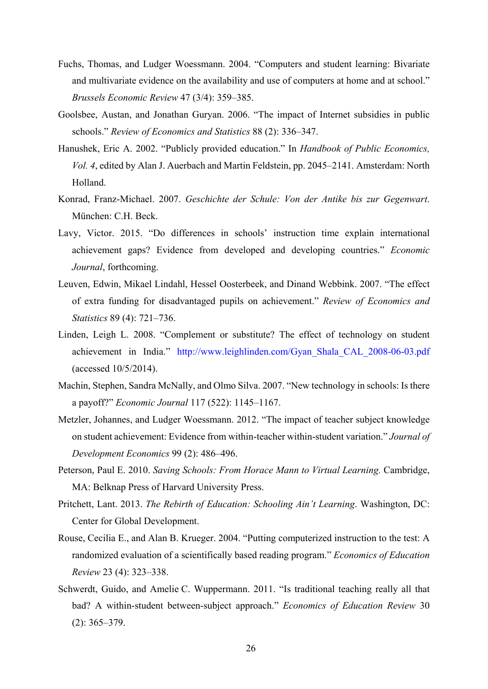- Fuchs, Thomas, and Ludger Woessmann. 2004. "Computers and student learning: Bivariate and multivariate evidence on the availability and use of computers at home and at school." *Brussels Economic Review* 47 (3/4): 359–385.
- Goolsbee, Austan, and Jonathan Guryan. 2006. "The impact of Internet subsidies in public schools." *Review of Economics and Statistics* 88 (2): 336–347.
- Hanushek, Eric A. 2002. "Publicly provided education." In *Handbook of Public Economics, Vol. 4*, edited by Alan J. Auerbach and Martin Feldstein, pp. 2045–2141. Amsterdam: North Holland.
- Konrad, Franz-Michael. 2007. *Geschichte der Schule: Von der Antike bis zur Gegenwart*. München: C.H. Beck.
- Lavy, Victor. 2015. "Do differences in schools' instruction time explain international achievement gaps? Evidence from developed and developing countries." *Economic Journal*, forthcoming.
- Leuven, Edwin, Mikael Lindahl, Hessel Oosterbeek, and Dinand Webbink. 2007. "The effect of extra funding for disadvantaged pupils on achievement." *Review of Economics and Statistics* 89 (4): 721–736.
- Linden, Leigh L. 2008. "Complement or substitute? The effect of technology on student achievement in India." http://www.leighlinden.com/Gyan\_Shala\_CAL\_2008-06-03.pdf (accessed 10/5/2014).
- Machin, Stephen, Sandra McNally, and Olmo Silva. 2007. "New technology in schools: Is there a payoff?" *Economic Journal* 117 (522): 1145–1167.
- Metzler, Johannes, and Ludger Woessmann. 2012. "The impact of teacher subject knowledge on student achievement: Evidence from within-teacher within-student variation." *Journal of Development Economics* 99 (2): 486–496.
- Peterson, Paul E. 2010. *Saving Schools: From Horace Mann to Virtual Learning.* Cambridge, MA: Belknap Press of Harvard University Press.
- Pritchett, Lant. 2013. *The Rebirth of Education: Schooling Ain't Learning*. Washington, DC: Center for Global Development.
- Rouse, Cecilia E., and Alan B. Krueger. 2004. "Putting computerized instruction to the test: A randomized evaluation of a scientifically based reading program." *Economics of Education Review* 23 (4): 323–338.
- Schwerdt, Guido, and Amelie C. Wuppermann. 2011. "Is traditional teaching really all that bad? A within-student between-subject approach." *Economics of Education Review* 30 (2): 365–379.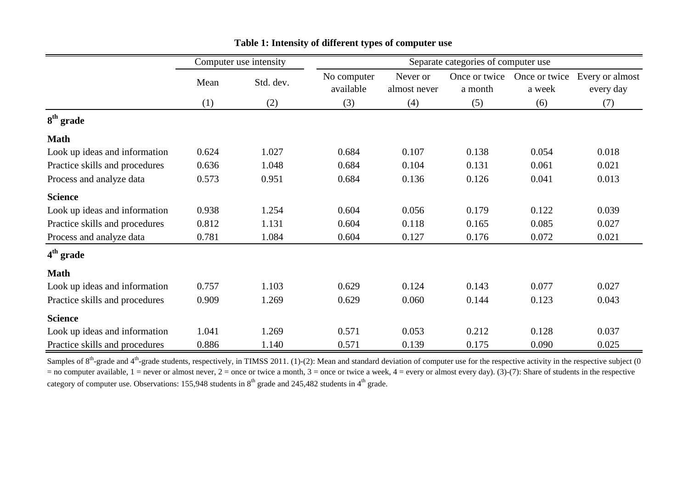|                                |       | Computer use intensity |                          |                          | Separate categories of computer use |                         |                              |
|--------------------------------|-------|------------------------|--------------------------|--------------------------|-------------------------------------|-------------------------|------------------------------|
|                                | Mean  | Std. dev.              | No computer<br>available | Never or<br>almost never | Once or twice<br>a month            | Once or twice<br>a week | Every or almost<br>every day |
|                                | (1)   | (2)                    | (3)                      | (4)                      | (5)                                 | (6)                     | (7)                          |
| $8th$ grade                    |       |                        |                          |                          |                                     |                         |                              |
| <b>Math</b>                    |       |                        |                          |                          |                                     |                         |                              |
| Look up ideas and information  | 0.624 | 1.027                  | 0.684                    | 0.107                    | 0.138                               | 0.054                   | 0.018                        |
| Practice skills and procedures | 0.636 | 1.048                  | 0.684                    | 0.104                    | 0.131                               | 0.061                   | 0.021                        |
| Process and analyze data       | 0.573 | 0.951                  | 0.684                    | 0.136                    | 0.126                               | 0.041                   | 0.013                        |
| <b>Science</b>                 |       |                        |                          |                          |                                     |                         |                              |
| Look up ideas and information  | 0.938 | 1.254                  | 0.604                    | 0.056                    | 0.179                               | 0.122                   | 0.039                        |
| Practice skills and procedures | 0.812 | 1.131                  | 0.604                    | 0.118                    | 0.165                               | 0.085                   | 0.027                        |
| Process and analyze data       | 0.781 | 1.084                  | 0.604                    | 0.127                    | 0.176                               | 0.072                   | 0.021                        |
| $4th$ grade                    |       |                        |                          |                          |                                     |                         |                              |
| <b>Math</b>                    |       |                        |                          |                          |                                     |                         |                              |
| Look up ideas and information  | 0.757 | 1.103                  | 0.629                    | 0.124                    | 0.143                               | 0.077                   | 0.027                        |
| Practice skills and procedures | 0.909 | 1.269                  | 0.629                    | 0.060                    | 0.144                               | 0.123                   | 0.043                        |
| <b>Science</b>                 |       |                        |                          |                          |                                     |                         |                              |
| Look up ideas and information  | 1.041 | 1.269                  | 0.571                    | 0.053                    | 0.212                               | 0.128                   | 0.037                        |
| Practice skills and procedures | 0.886 | 1.140                  | 0.571                    | 0.139                    | 0.175                               | 0.090                   | 0.025                        |

## **Table 1: Intensity of different types of computer use**

Samples of  $8<sup>th</sup>$ -grade and  $4<sup>th</sup>$ -grade students, respectively, in TIMSS 2011. (1)-(2): Mean and standard deviation of computer use for the respective activity in the respective subject (0 = no computer available, 1 = never or almost never, 2 = once or twice a month, 3 = once or twice a week, 4 = every or almost every day). (3)-(7): Share of students in the respective category of computer use. Observations: 155,948 students in  $8<sup>th</sup>$  grade and 245,482 students in  $4<sup>th</sup>$  grade.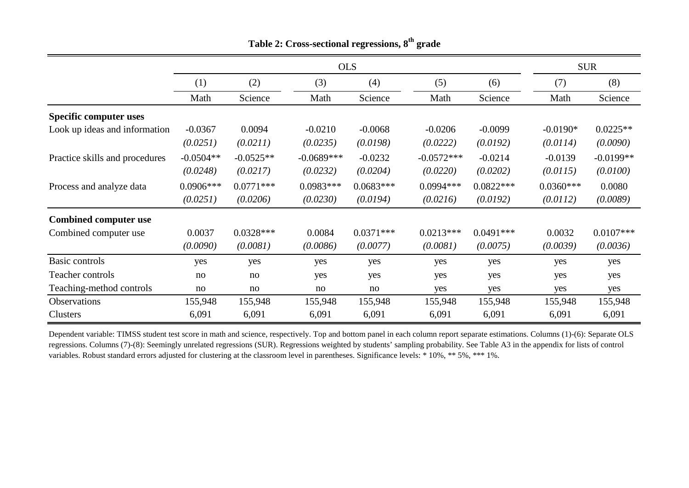|                                |             |             |              | <b>OLS</b>  |              |             |             | <b>SUR</b>  |
|--------------------------------|-------------|-------------|--------------|-------------|--------------|-------------|-------------|-------------|
|                                | (1)         | (2)         | (3)          | (4)         | (5)          | (6)         | (7)         | (8)         |
|                                | Math        | Science     | Math         | Science     | Math         | Science     | Math        | Science     |
| <b>Specific computer uses</b>  |             |             |              |             |              |             |             |             |
| Look up ideas and information  | $-0.0367$   | 0.0094      | $-0.0210$    | $-0.0068$   | $-0.0206$    | $-0.0099$   | $-0.0190*$  | $0.0225**$  |
|                                | (0.0251)    | (0.0211)    | (0.0235)     | (0.0198)    | (0.0222)     | (0.0192)    | (0.0114)    | (0.0090)    |
| Practice skills and procedures | $-0.0504**$ | $-0.0525**$ | $-0.0689***$ | $-0.0232$   | $-0.0572***$ | $-0.0214$   | $-0.0139$   | $-0.0199**$ |
|                                | (0.0248)    | (0.0217)    | (0.0232)     | (0.0204)    | (0.0220)     | (0.0202)    | (0.0115)    | (0.0100)    |
| Process and analyze data       | $0.0906***$ | $0.0771***$ | $0.0983***$  | $0.0683***$ | $0.0994***$  | $0.0822***$ | $0.0360***$ | 0.0080      |
|                                | (0.0251)    | (0.0206)    | (0.0230)     | (0.0194)    | (0.0216)     | (0.0192)    | (0.0112)    | (0.0089)    |
| <b>Combined computer use</b>   |             |             |              |             |              |             |             |             |
| Combined computer use          | 0.0037      | $0.0328***$ | 0.0084       | $0.0371***$ | $0.0213***$  | $0.0491***$ | 0.0032      | $0.0107***$ |
|                                | (0.0090)    | (0.0081)    | (0.0086)     | (0.0077)    | (0.0081)     | (0.0075)    | (0.0039)    | (0.0036)    |
| Basic controls                 | yes         | yes         | yes          | yes         | yes          | yes         | yes         | yes         |
| Teacher controls               | no          | no          | yes          | yes         | yes          | yes         | yes         | yes         |
| Teaching-method controls       | no          | no          | no           | no          | yes          | yes         | yes         | yes         |
| <b>Observations</b>            | 155,948     | 155,948     | 155,948      | 155,948     | 155,948      | 155,948     | 155,948     | 155,948     |
| Clusters                       | 6,091       | 6,091       | 6,091        | 6,091       | 6,091        | 6,091       | 6,091       | 6,091       |

**Table 2: Cross-sectional regressions, 8th grade**

Dependent variable: TIMSS student test score in math and science, respectively. Top and bottom panel in each column report separate estimations. Columns (1)-(6): Separate OLS regressions. Columns (7)-(8): Seemingly unrelated regressions (SUR). Regressions weighted by students' sampling probability. See Table A3 in the appendix for lists of control variables. Robust standard errors adjusted for clustering at the classroom level in parentheses. Significance levels: \* 10%, \*\* 5%, \*\*\* 1%.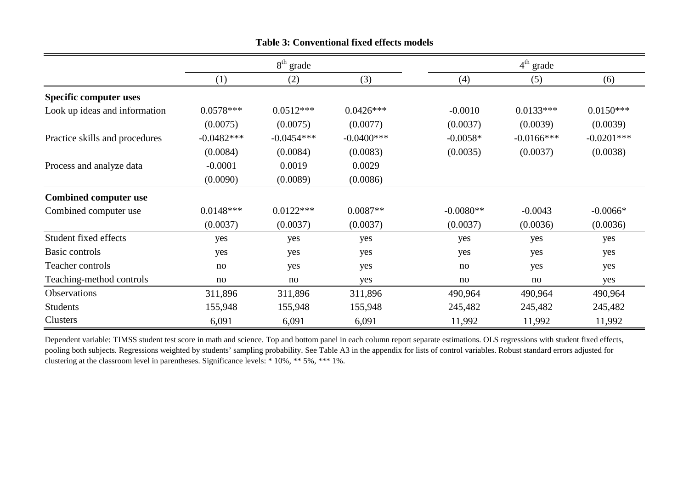|                                |              | $8th$ grade  |               |             | $4th$ grade   |              |
|--------------------------------|--------------|--------------|---------------|-------------|---------------|--------------|
|                                | (1)          | (2)          | (3)           | (4)         | (5)           | (6)          |
| <b>Specific computer uses</b>  |              |              |               |             |               |              |
| Look up ideas and information  | $0.0578***$  | $0.0512***$  | $0.0426***$   | $-0.0010$   | $0.0133***$   | $0.0150***$  |
|                                | (0.0075)     | (0.0075)     | (0.0077)      | (0.0037)    | (0.0039)      | (0.0039)     |
| Practice skills and procedures | $-0.0482***$ | $-0.0454***$ | $-0.0400$ *** | $-0.0058*$  | $-0.0166$ *** | $-0.0201***$ |
|                                | (0.0084)     | (0.0084)     | (0.0083)      | (0.0035)    | (0.0037)      | (0.0038)     |
| Process and analyze data       | $-0.0001$    | 0.0019       | 0.0029        |             |               |              |
|                                | (0.0090)     | (0.0089)     | (0.0086)      |             |               |              |
| <b>Combined computer use</b>   |              |              |               |             |               |              |
| Combined computer use          | $0.0148***$  | $0.0122***$  | $0.0087**$    | $-0.0080**$ | $-0.0043$     | $-0.0066*$   |
|                                | (0.0037)     | (0.0037)     | (0.0037)      | (0.0037)    | (0.0036)      | (0.0036)     |
| Student fixed effects          | yes          | yes          | yes           | yes         | yes           | yes          |
| Basic controls                 | yes          | yes          | yes           | yes         | yes           | yes          |
| Teacher controls               | no           | yes          | yes           | no          | yes           | yes          |
| Teaching-method controls       | no           | no           | yes           | no          | no            | yes          |
| Observations                   | 311,896      | 311,896      | 311,896       | 490,964     | 490,964       | 490,964      |
| <b>Students</b>                | 155,948      | 155,948      | 155,948       | 245,482     | 245,482       | 245,482      |
| Clusters                       | 6,091        | 6,091        | 6,091         | 11,992      | 11,992        | 11,992       |

**Table 3: Conventional fixed effects models**

Dependent variable: TIMSS student test score in math and science. Top and bottom panel in each column report separate estimations. OLS regressions with student fixed effects, pooling both subjects. Regressions weighted by students' sampling probability. See Table A3 in the appendix for lists of control variables. Robust standard errors adjusted for clustering at the classroom level in parentheses. Significance levels: \* 10%, \*\* 5%, \*\*\* 1%.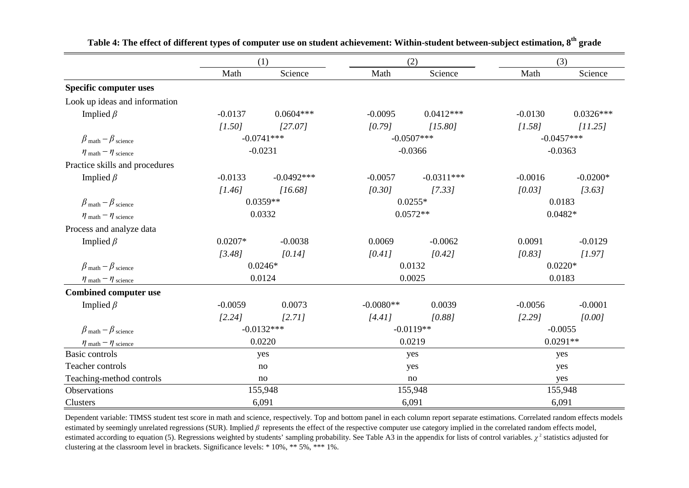|                                                |           | (1)          |             | (2)          |           | (3)          |  |
|------------------------------------------------|-----------|--------------|-------------|--------------|-----------|--------------|--|
|                                                | Math      | Science      | Math        | Science      | Math      | Science      |  |
| <b>Specific computer uses</b>                  |           |              |             |              |           |              |  |
| Look up ideas and information                  |           |              |             |              |           |              |  |
| Implied $\beta$                                | $-0.0137$ | $0.0604***$  | $-0.0095$   | $0.0412***$  | $-0.0130$ | $0.0326***$  |  |
|                                                | [1.50]    | [27.07]      | [0.79]      | [15.80]      | [1.58]    | [11.25]      |  |
| $\beta$ math $-\beta$ science                  |           | $-0.0741***$ |             | $-0.0507***$ |           | $-0.0457***$ |  |
| $\eta$ math $-\eta$ science                    |           | $-0.0231$    |             | $-0.0366$    |           | $-0.0363$    |  |
| Practice skills and procedures                 |           |              |             |              |           |              |  |
| Implied $\beta$                                | $-0.0133$ | $-0.0492***$ | $-0.0057$   | $-0.0311***$ | $-0.0016$ | $-0.0200*$   |  |
|                                                | [1.46]    | [16.68]      | [0.30]      | [7.33]       | [0.03]    | [3.63]       |  |
| $\beta_{\text{math}} - \beta_{\text{science}}$ |           | $0.0359**$   |             | $0.0255*$    |           | 0.0183       |  |
| $\eta$ math $-\eta$ science                    |           | 0.0332       |             | $0.0572**$   |           | $0.0482*$    |  |
| Process and analyze data                       |           |              |             |              |           |              |  |
| Implied $\beta$                                | $0.0207*$ | $-0.0038$    | 0.0069      | $-0.0062$    | 0.0091    | $-0.0129$    |  |
|                                                | [3.48]    | [0.14]       | [0.41]      | [0.42]       | [0.83]    | [1.97]       |  |
| $\beta_{\text{math}} - \beta_{\text{science}}$ |           | $0.0246*$    |             | 0.0132       |           | $0.0220*$    |  |
| $\eta$ math $-\eta$ science                    |           | 0.0124       |             | 0.0025       |           | 0.0183       |  |
| <b>Combined computer use</b>                   |           |              |             |              |           |              |  |
| Implied $\beta$                                | $-0.0059$ | 0.0073       | $-0.0080**$ | 0.0039       | $-0.0056$ | $-0.0001$    |  |
|                                                | [2.24]    | [2.71]       | [4.41]      | [0.88]       | [2.29]    | [0.00]       |  |
| $\beta$ math $-\beta$ science                  |           | $-0.0132***$ |             | $-0.0119**$  |           | $-0.0055$    |  |
| $\eta$ math $-\eta$ science                    |           | 0.0220       |             | 0.0219       |           | $0.0291**$   |  |
| <b>Basic controls</b>                          |           | yes          |             | yes          |           | yes          |  |
| Teacher controls                               |           | no           |             | yes          |           | yes          |  |
| Teaching-method controls                       |           | no           | no          |              |           | yes          |  |
| Observations                                   |           | 155,948      |             | 155,948      |           | 155,948      |  |
| Clusters                                       |           | 6,091        |             | 6,091        | 6,091     |              |  |

**Table 4: The effect of different types of computer use on student achievement: Within-student between-subject estimation, 8th grade**

Dependent variable: TIMSS student test score in math and science, respectively. Top and bottom panel in each column report separate estimations. Correlated random effects models estimated by seemingly unrelated regressions (SUR). Implied  $\beta$  represents the effect of the respective computer use category implied in the correlated random effects model, estimated according to equation (5). Regressions weighted by students' sampling probability. See Table A3 in the appendix for lists of control variables.  $\chi^2$  statistics adjusted for clustering at the classroom level in brackets. Significance levels: \* 10%, \*\* 5%, \*\*\* 1%.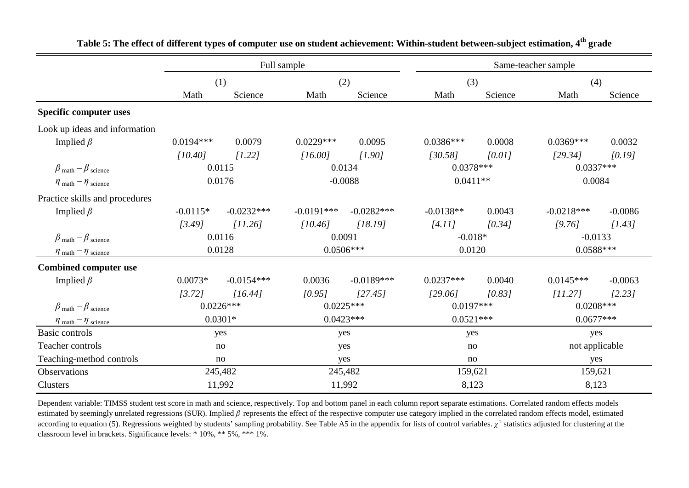|                                                |             |              | Full sample  |              |             |         | Same-teacher sample |           |
|------------------------------------------------|-------------|--------------|--------------|--------------|-------------|---------|---------------------|-----------|
|                                                |             | (1)          |              | (2)          | (3)         |         | (4)                 |           |
|                                                | Math        | Science      | Math         | Science      | Math        | Science | Math                | Science   |
| <b>Specific computer uses</b>                  |             |              |              |              |             |         |                     |           |
| Look up ideas and information                  |             |              |              |              |             |         |                     |           |
| Implied $\beta$                                | $0.0194***$ | 0.0079       | $0.0229***$  | 0.0095       | $0.0386***$ | 0.0008  | $0.0369***$         | 0.0032    |
|                                                | [10.40]     | [1.22]       | [16.00]      | [1.90]       | [30.58]     | [0.01]  | [29.34]             | [0.19]    |
| $\beta_{\text{math}} - \beta_{\text{science}}$ |             | 0.0115       |              | 0.0134       | $0.0378***$ |         | $0.0337***$         |           |
| $\eta$ math $-\eta$ science                    |             | 0.0176       |              | $-0.0088$    | $0.0411**$  |         | 0.0084              |           |
| Practice skills and procedures                 |             |              |              |              |             |         |                     |           |
| Implied $\beta$                                | $-0.0115*$  | $-0.0232***$ | $-0.0191***$ | $-0.0282***$ | $-0.0138**$ | 0.0043  | $-0.0218***$        | $-0.0086$ |
|                                                | [3.49]      | [11.26]      | [10.46]      | [18.19]      | [4.11]      | [0.34]  | [9.76]              | $[1.43]$  |
| $\beta$ math $-\beta$ science                  |             | 0.0116       |              | 0.0091       | $-0.018*$   |         | $-0.0133$           |           |
| $\eta$ math $-\eta$ science                    |             | 0.0128       | $0.0506***$  |              | 0.0120      |         | $0.0588***$         |           |
| <b>Combined computer use</b>                   |             |              |              |              |             |         |                     |           |
| Implied $\beta$                                | $0.0073*$   | $-0.0154***$ | 0.0036       | $-0.0189***$ | $0.0237***$ | 0.0040  | $0.0145***$         | $-0.0063$ |
|                                                | [3.72]      | [16.44]      | [0.95]       | [27.45]      | [29.06]     | [0.83]  | [11.27]             | [2.23]    |
| $\beta_{\text{math}} - \beta_{\text{science}}$ |             | $0.0226***$  |              | $0.0225***$  | $0.0197***$ |         | $0.0208***$         |           |
| $\eta$ math $-\eta$ science                    |             | $0.0301*$    |              | $0.0423***$  | $0.0521***$ |         | $0.0677***$         |           |
| <b>Basic controls</b>                          |             | yes          |              | yes          | yes         |         | yes                 |           |
| Teacher controls                               |             | no           |              | yes          | no          |         | not applicable      |           |
| Teaching-method controls                       |             | no           |              | yes          | no          |         | yes                 |           |
| Observations                                   |             | 245,482      |              | 245,482      | 159,621     |         | 159,621             |           |
| Clusters                                       |             | 11,992       |              | 11,992       | 8,123       |         | 8,123               |           |

**Table 5: The effect of different types of computer use on student achievement: Within-student between-subject estimation, 4th grade**

Dependent variable: TIMSS student test score in math and science, respectively. Top and bottom panel in each column report separate estimations. Correlated random effects models estimated by seemingly unrelated regressions (SUR). Implied *β* represents the effect of the respective computer use category implied in the correlated random effects model, estimated according to equation (5). Regressions weighted by students' sampling probability. See Table A5 in the appendix for lists of control variables.  $\chi^2$  statistics adjusted for clustering at the classroom level in brackets. Significance levels: \* 10%, \*\* 5%, \*\*\* 1%.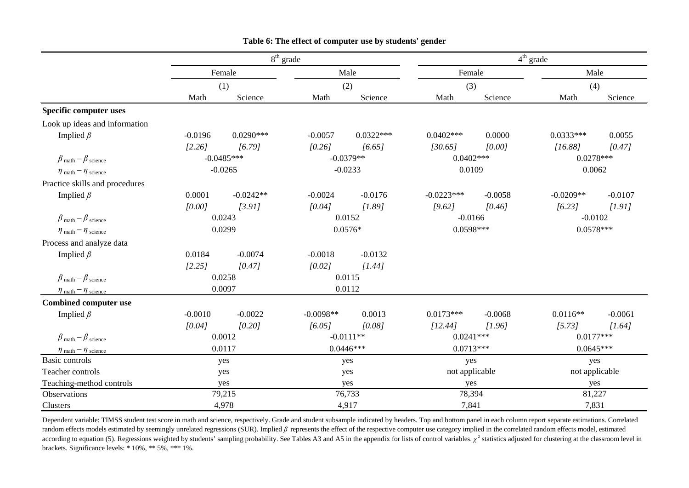|                                                |           |              | $8th$ grade |             |                |           | $4th$ grade    |           |
|------------------------------------------------|-----------|--------------|-------------|-------------|----------------|-----------|----------------|-----------|
|                                                |           | Female       |             | Male        | Female         |           | Male           |           |
|                                                |           | (1)          |             | (2)         | (3)            |           | (4)            |           |
|                                                | Math      | Science      | Math        | Science     | Math           | Science   | Math           | Science   |
| <b>Specific computer uses</b>                  |           |              |             |             |                |           |                |           |
| Look up ideas and information                  |           |              |             |             |                |           |                |           |
| Implied $\beta$                                | $-0.0196$ | $0.0290***$  | $-0.0057$   | $0.0322***$ | $0.0402***$    | 0.0000    | $0.0333***$    | 0.0055    |
|                                                | [2.26]    | [6.79]       | [0.26]      | [6.65]      | [30.65]        | [0.00]    | [16.88]        | [0.47]    |
| $\beta$ math $-\beta$ science                  |           | $-0.0485***$ | $-0.0379**$ |             | $0.0402***$    |           | $0.0278***$    |           |
| $\eta$ math $-\eta$ science                    |           | $-0.0265$    |             | $-0.0233$   | 0.0109         |           | 0.0062         |           |
| Practice skills and procedures                 |           |              |             |             |                |           |                |           |
| Implied $\beta$                                | 0.0001    | $-0.0242**$  | $-0.0024$   | $-0.0176$   | $-0.0223***$   | $-0.0058$ | $-0.0209**$    | $-0.0107$ |
|                                                | [0.00]    | [3.91]       | [0.04]      | [1.89]      | [9.62]         | [0.46]    | [6.23]         | [1.91]    |
| $\beta$ math $-\beta$ science                  |           | 0.0243       | 0.0152      |             | $-0.0166$      |           | $-0.0102$      |           |
| $\eta$ math $-\eta$ science                    |           | 0.0299       |             | $0.0576*$   | $0.0598***$    |           | $0.0578***$    |           |
| Process and analyze data                       |           |              |             |             |                |           |                |           |
| Implied $\beta$                                | 0.0184    | $-0.0074$    | $-0.0018$   | $-0.0132$   |                |           |                |           |
|                                                | [2.25]    | [0.47]       | [0.02]      | $[1.44]$    |                |           |                |           |
| $\beta_{\text{math}} - \beta_{\text{science}}$ |           | 0.0258       |             | 0.0115      |                |           |                |           |
| $\eta$ math $-\eta$ science                    |           | 0.0097       |             | 0.0112      |                |           |                |           |
| <b>Combined computer use</b>                   |           |              |             |             |                |           |                |           |
| Implied $\beta$                                | $-0.0010$ | $-0.0022$    | $-0.0098**$ | 0.0013      | $0.0173***$    | $-0.0068$ | $0.0116**$     | $-0.0061$ |
|                                                | [0.04]    | [0.20]       | [6.05]      | [0.08]      | [12.44]        | [1.96]    | [5.73]         | [1.64]    |
| $\beta$ math $-\beta$ science                  |           | 0.0012       |             | $-0.0111**$ | $0.0241***$    |           | $0.0177***$    |           |
| $\eta$ math $-\eta$ science                    |           | 0.0117       |             | $0.0446***$ | $0.0713***$    |           | $0.0645***$    |           |
| <b>Basic controls</b>                          |           | yes          |             | yes         | yes            |           | yes            |           |
| Teacher controls                               |           | yes          |             | yes         | not applicable |           | not applicable |           |
| Teaching-method controls                       |           | yes          |             | yes         | yes            |           | yes            |           |
| Observations                                   |           | 79,215       |             | 76,733      | 78,394         |           | 81,227         |           |
| Clusters                                       |           | 4,978        |             | 4,917       | 7,841          |           | 7,831          |           |

#### **Table 6: The effect of computer use by students' gender**

Dependent variable: TIMSS student test score in math and science, respectively. Grade and student subsample indicated by headers. Top and bottom panel in each column report separate estimations. Correlated random effects models estimated by seemingly unrelated regressions (SUR). Implied *β* represents the effect of the respective computer use category implied in the correlated random effects model, estimated according to equation (5). Regressions weighted by students' sampling probability. See Tables A3 and A5 in the appendix for lists of control variables.  $\chi^2$  statistics adjusted for clustering at the classroom level in brackets. Significance levels: \* 10%, \*\* 5%, \*\*\* 1%.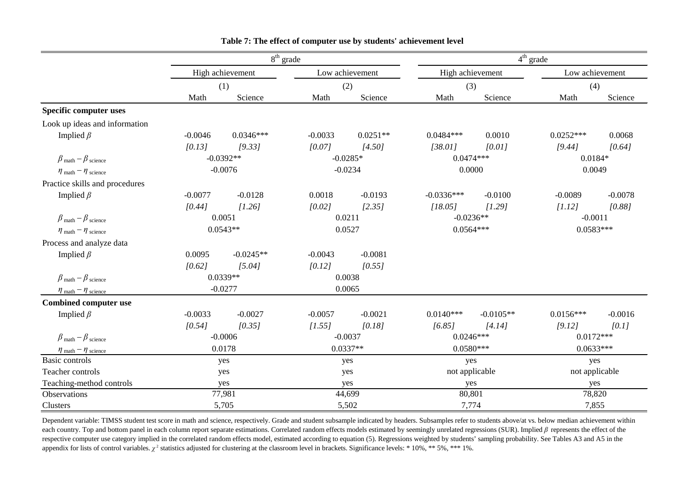|                                                |           | $8th$ grade      |           |                 |                  |             | $4th$ grade     |           |
|------------------------------------------------|-----------|------------------|-----------|-----------------|------------------|-------------|-----------------|-----------|
|                                                |           | High achievement |           | Low achievement | High achievement |             | Low achievement |           |
|                                                |           | (1)              |           | (2)             | (3)              |             | (4)             |           |
|                                                | Math      | Science          | Math      | Science         | Math             | Science     | Math            | Science   |
| <b>Specific computer uses</b>                  |           |                  |           |                 |                  |             |                 |           |
| Look up ideas and information                  |           |                  |           |                 |                  |             |                 |           |
| Implied $\beta$                                | $-0.0046$ | $0.0346***$      | $-0.0033$ | $0.0251**$      | $0.0484***$      | 0.0010      | $0.0252***$     | 0.0068    |
|                                                | [0.13]    | [9.33]           | [0.07]    | [4.50]          | [38.01]          | [0.01]      | [9.44]          | [0.64]    |
| $\beta_{\text{math}} - \beta_{\text{science}}$ |           | $-0.0392**$      |           | $-0.0285*$      | $0.0474***$      |             | $0.0184*$       |           |
| $\eta$ math $-\eta$ science                    |           | $-0.0076$        | $-0.0234$ |                 | 0.0000           |             | 0.0049          |           |
| Practice skills and procedures                 |           |                  |           |                 |                  |             |                 |           |
| Implied $\beta$                                | $-0.0077$ | $-0.0128$        | 0.0018    | $-0.0193$       | $-0.0336***$     | $-0.0100$   | $-0.0089$       | $-0.0078$ |
|                                                | [0.44]    | [1.26]           | [0.02]    | [2.35]          | [18.05]          | [1.29]      | [1.12]          | [0.88]    |
| $\beta_{\text{math}} - \beta_{\text{science}}$ |           | 0.0051           | 0.0211    |                 | $-0.0236**$      |             | $-0.0011$       |           |
| $\eta$ math $-\eta$ science                    |           | $0.0543**$       |           | 0.0527          | $0.0564***$      |             | $0.0583***$     |           |
| Process and analyze data                       |           |                  |           |                 |                  |             |                 |           |
| Implied $\beta$                                | 0.0095    | $-0.0245**$      | $-0.0043$ | $-0.0081$       |                  |             |                 |           |
|                                                | [0.62]    | [5.04]           | [0.12]    | [0.55]          |                  |             |                 |           |
| $\beta_{\text{math}} - \beta_{\text{science}}$ |           | $0.0339**$       |           | 0.0038          |                  |             |                 |           |
| $\eta$ math $-\eta$ science                    |           | $-0.0277$        |           | 0.0065          |                  |             |                 |           |
| <b>Combined computer use</b>                   |           |                  |           |                 |                  |             |                 |           |
| Implied $\beta$                                | $-0.0033$ | $-0.0027$        | $-0.0057$ | $-0.0021$       | $0.0140***$      | $-0.0105**$ | $0.0156***$     | $-0.0016$ |
|                                                | [0.54]    | [0.35]           | [1.55]    | [0.18]          | [6.85]           | [4.14]      | [9.12]          | [0.1]     |
| $\beta$ math $-\beta$ science                  |           | $-0.0006$        |           | $-0.0037$       | $0.0246***$      |             | $0.0172***$     |           |
| $\eta$ math $-\eta$ science                    |           | 0.0178           |           | $0.0337**$      | $0.0580***$      |             | $0.0633***$     |           |
| <b>Basic controls</b>                          |           | yes              |           | yes             | yes              |             | yes             |           |
| Teacher controls                               |           | yes              |           | yes             | not applicable   |             | not applicable  |           |
| Teaching-method controls                       |           | yes              |           | yes             | yes              |             | yes             |           |
| Observations                                   |           | 77,981           |           | 44,699          | 80,801           |             | 78,820          |           |
| Clusters                                       |           | 5,705            |           | 5,502           | 7,774            |             | 7,855           |           |

#### **Table 7: The effect of computer use by students' achievement level**

Dependent variable: TIMSS student test score in math and science, respectively. Grade and student subsample indicated by headers. Subsamples refer to students above/at vs. below median achievement within each country. Top and bottom panel in each column report separate estimations. Correlated random effects models estimated by seemingly unrelated regressions (SUR). Implied *β* represents the effect of the respective computer use category implied in the correlated random effects model, estimated according to equation (5). Regressions weighted by students' sampling probability. See Tables A3 and A5 in the appendix for lists of control variables.  $\chi^2$  statistics adjusted for clustering at the classroom level in brackets. Significance levels: \* 10%, \*\* 5%, \*\*\* 1%.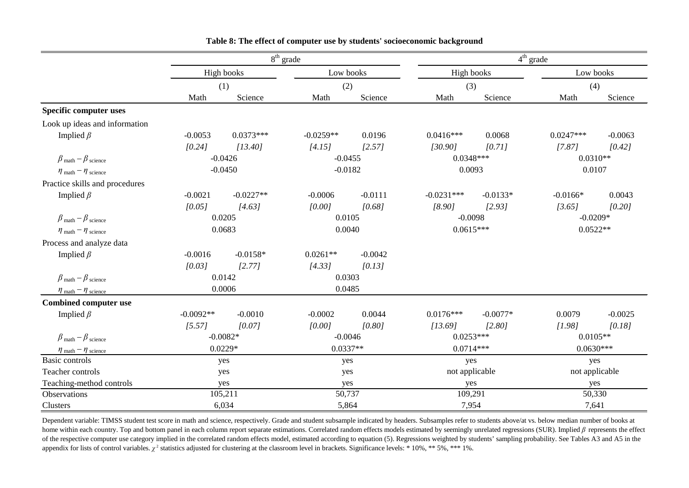|                                                |             |             | $8th$ grade |           |                |            | $4th$ grade    |           |
|------------------------------------------------|-------------|-------------|-------------|-----------|----------------|------------|----------------|-----------|
|                                                |             | High books  | Low books   |           | High books     |            | Low books      |           |
|                                                |             | (1)         | (2)         |           | (3)            |            | (4)            |           |
|                                                | Math        | Science     | Math        | Science   | Math           | Science    | Math           | Science   |
| <b>Specific computer uses</b>                  |             |             |             |           |                |            |                |           |
| Look up ideas and information                  |             |             |             |           |                |            |                |           |
| Implied $\beta$                                | $-0.0053$   | $0.0373***$ | $-0.0259**$ | 0.0196    | $0.0416***$    | 0.0068     | $0.0247***$    | $-0.0063$ |
|                                                | [0.24]      | [13.40]     | [4.15]      | [2.57]    | [30.90]        | [0.71]     | [7.87]         | [0.42]    |
| $\beta$ math $-\beta$ science                  |             | $-0.0426$   | $-0.0455$   |           | $0.0348***$    |            | $0.0310**$     |           |
| $\eta$ math $-\eta$ science                    |             | $-0.0450$   | $-0.0182$   |           | 0.0093         |            | 0.0107         |           |
| Practice skills and procedures                 |             |             |             |           |                |            |                |           |
| Implied $\beta$                                | $-0.0021$   | $-0.0227**$ | $-0.0006$   | $-0.0111$ | $-0.0231***$   | $-0.0133*$ | $-0.0166*$     | 0.0043    |
|                                                | [0.05]      | [4.63]      | [0.00]      | [0.68]    | [8.90]         | [2.93]     | [3.65]         | [0.20]    |
| $\beta_{\text{math}} - \beta_{\text{science}}$ |             | 0.0205      |             | 0.0105    | $-0.0098$      |            | $-0.0209*$     |           |
| $\eta$ math $-\eta$ science                    |             | 0.0683      |             | 0.0040    | $0.0615***$    |            | $0.0522**$     |           |
| Process and analyze data                       |             |             |             |           |                |            |                |           |
| Implied $\beta$                                | $-0.0016$   | $-0.0158*$  | $0.0261**$  | $-0.0042$ |                |            |                |           |
|                                                | [0.03]      | [2.77]      | [4.33]      | [0.13]    |                |            |                |           |
| $\beta_{\text{math}} - \beta_{\text{science}}$ |             | 0.0142      | 0.0303      |           |                |            |                |           |
| $\eta$ math $-\eta$ science                    |             | 0.0006      | 0.0485      |           |                |            |                |           |
| <b>Combined computer use</b>                   |             |             |             |           |                |            |                |           |
| Implied $\beta$                                | $-0.0092**$ | $-0.0010$   | $-0.0002$   | 0.0044    | $0.0176***$    | $-0.0077*$ | 0.0079         | $-0.0025$ |
|                                                | [5.57]      | [0.07]      | [0.00]      | [0.80]    | [13.69]        | [2.80]     | [1.98]         | [0.18]    |
| $\beta$ math $-\beta$ science                  |             | $-0.0082*$  | $-0.0046$   |           | $0.0253***$    |            | $0.0105**$     |           |
| $\eta$ math $-\eta$ science                    |             | $0.0229*$   | $0.0337**$  |           | $0.0714***$    |            | $0.0630***$    |           |
| <b>Basic controls</b>                          |             | yes         | yes         |           | yes            |            | yes            |           |
| Teacher controls                               |             | yes         | yes         |           | not applicable |            | not applicable |           |
| Teaching-method controls                       |             | yes         | yes         |           | yes            |            | yes            |           |
| Observations                                   |             | 105,211     | 50,737      |           | 109,291        |            | 50,330         |           |
| Clusters                                       |             | 6,034       | 5,864       |           | 7,954          |            | 7,641          |           |

**Table 8: The effect of computer use by students' socioeconomic background**

Dependent variable: TIMSS student test score in math and science, respectively. Grade and student subsample indicated by headers. Subsamples refer to students above/at vs. below median number of books at home within each country. Top and bottom panel in each column report separate estimations. Correlated random effects models estimated by seemingly unrelated regressions (SUR). Implied *β* represents the effect of the respective computer use category implied in the correlated random effects model, estimated according to equation (5). Regressions weighted by students' sampling probability. See Tables A3 and A5 in the appendix for lists of control variables.  $\chi^2$  statistics adjusted for clustering at the classroom level in brackets. Significance levels: \* 10%, \*\* 5%, \*\*\* 1%.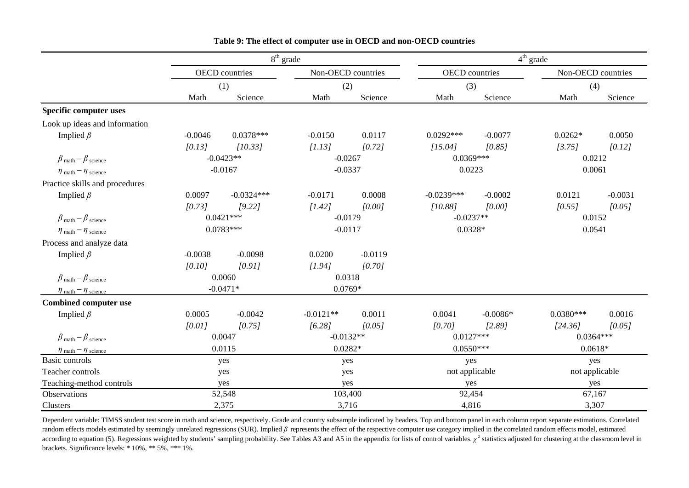|                                                |           |                       | $8th$ grade        |           |                       | $4th$ grade |                    |           |  |  |
|------------------------------------------------|-----------|-----------------------|--------------------|-----------|-----------------------|-------------|--------------------|-----------|--|--|
|                                                |           | <b>OECD</b> countries | Non-OECD countries |           | <b>OECD</b> countries |             | Non-OECD countries |           |  |  |
|                                                |           | (1)                   | (2)                |           | (3)                   |             | (4)                |           |  |  |
|                                                | Math      | Science               | Math               | Science   | Math                  | Science     | Math               | Science   |  |  |
| <b>Specific computer uses</b>                  |           |                       |                    |           |                       |             |                    |           |  |  |
| Look up ideas and information                  |           |                       |                    |           |                       |             |                    |           |  |  |
| Implied $\beta$                                | $-0.0046$ | $0.0378***$           | $-0.0150$          | 0.0117    | $0.0292***$           | $-0.0077$   | $0.0262*$          | 0.0050    |  |  |
|                                                | [0.13]    | [10.33]               | $[1.13]$           | [0.72]    | [15.04]               | [0.85]      | [3.75]             | [0.12]    |  |  |
| $\beta$ math $-\beta$ science                  |           | $-0.0423**$           | $-0.0267$          |           | $0.0369***$           |             | 0.0212             |           |  |  |
| $\eta$ math $-\eta$ science                    |           | $-0.0167$             |                    | $-0.0337$ | 0.0223                |             | 0.0061             |           |  |  |
| Practice skills and procedures                 |           |                       |                    |           |                       |             |                    |           |  |  |
| Implied $\beta$                                | 0.0097    | $-0.0324***$          | $-0.0171$          | 0.0008    | $-0.0239***$          | $-0.0002$   | 0.0121             | $-0.0031$ |  |  |
|                                                | [0.73]    | [9.22]                | [1.42]             | [0.00]    | [10.88]               | [0.00]      | [0.55]             | [0.05]    |  |  |
| $\beta$ math $-\beta$ science                  |           | $0.0421***$           |                    | $-0.0179$ |                       | $-0.0237**$ | 0.0152             |           |  |  |
| $\eta$ math $-\eta$ science                    |           | $0.0783***$           | $-0.0117$          |           | $0.0328*$             |             | 0.0541             |           |  |  |
| Process and analyze data                       |           |                       |                    |           |                       |             |                    |           |  |  |
| Implied $\beta$                                | $-0.0038$ | $-0.0098$             | 0.0200             | $-0.0119$ |                       |             |                    |           |  |  |
|                                                | [0.10]    | [0.91]                | [1.94]             | [0.70]    |                       |             |                    |           |  |  |
| $\beta_{\text{math}} - \beta_{\text{science}}$ |           | 0.0060                | 0.0318             |           |                       |             |                    |           |  |  |
| $\eta$ math $-\eta$ science                    |           | $-0.0471*$            | $0.0769*$          |           |                       |             |                    |           |  |  |
| <b>Combined computer use</b>                   |           |                       |                    |           |                       |             |                    |           |  |  |
| Implied $\beta$                                | 0.0005    | $-0.0042$             | $-0.0121**$        | 0.0011    | 0.0041                | $-0.0086*$  | $0.0380***$        | 0.0016    |  |  |
|                                                | [0.01]    | [0.75]                | [6.28]             | [0.05]    | [0.70]                | [2.89]      | [24.36]            | [0.05]    |  |  |
| $\beta$ math $-\beta$ science                  |           | 0.0047                | $-0.0132**$        |           | $0.0127***$           |             | $0.0364***$        |           |  |  |
| $\eta$ math $-\eta$ science                    |           | 0.0115                | $0.0282*$          |           | $0.0550***$           |             | $0.0618*$          |           |  |  |
| <b>Basic controls</b>                          |           | yes                   | yes                |           | yes                   |             | yes                |           |  |  |
| Teacher controls                               |           | yes                   | yes                |           | not applicable        |             | not applicable     |           |  |  |
| Teaching-method controls                       |           | yes                   | yes                |           | yes                   |             | yes                |           |  |  |
| Observations                                   |           | 52,548                | 103,400            |           | 92,454                |             | 67,167             |           |  |  |
| Clusters                                       |           | 2,375                 | 3,716              |           | 4,816                 |             | 3,307              |           |  |  |

#### **Table 9: The effect of computer use in OECD and non-OECD countries**

Dependent variable: TIMSS student test score in math and science, respectively. Grade and country subsample indicated by headers. Top and bottom panel in each column report separate estimations. Correlated random effects models estimated by seemingly unrelated regressions (SUR). Implied *β* represents the effect of the respective computer use category implied in the correlated random effects model, estimated according to equation (5). Regressions weighted by students' sampling probability. See Tables A3 and A5 in the appendix for lists of control variables.  $\chi^2$  statistics adjusted for clustering at the classroom level in brackets. Significance levels: \* 10%, \*\* 5%, \*\*\* 1%.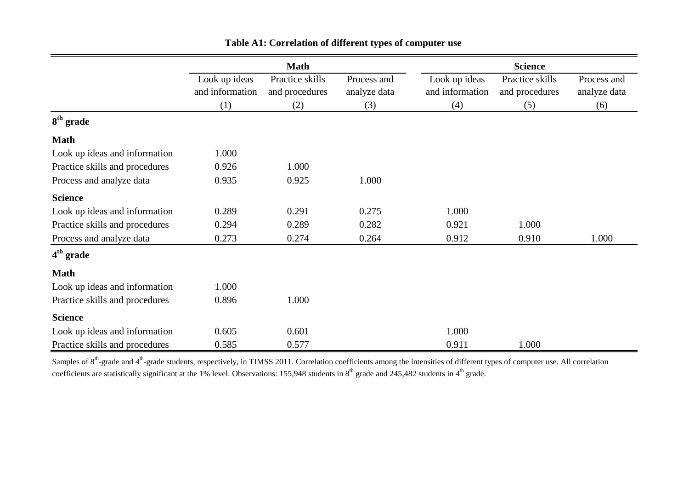|                                |                                  | <b>Math</b>                       |                             |                                  | <b>Science</b>                    |                             |
|--------------------------------|----------------------------------|-----------------------------------|-----------------------------|----------------------------------|-----------------------------------|-----------------------------|
|                                | Look up ideas<br>and information | Practice skills<br>and procedures | Process and<br>analyze data | Look up ideas<br>and information | Practice skills<br>and procedures | Process and<br>analyze data |
|                                | (1)                              | (2)                               | (3)                         | (4)                              | (5)                               | (6)                         |
| $8th$ grade                    |                                  |                                   |                             |                                  |                                   |                             |
| <b>Math</b>                    |                                  |                                   |                             |                                  |                                   |                             |
| Look up ideas and information  | 1.000                            |                                   |                             |                                  |                                   |                             |
| Practice skills and procedures | 0.926                            | 1.000                             |                             |                                  |                                   |                             |
| Process and analyze data       | 0.935                            | 0.925                             | 1.000                       |                                  |                                   |                             |
| <b>Science</b>                 |                                  |                                   |                             |                                  |                                   |                             |
| Look up ideas and information  | 0.289                            | 0.291                             | 0.275                       | 1.000                            |                                   |                             |
| Practice skills and procedures | 0.294                            | 0.289                             | 0.282                       | 0.921                            | 1.000                             |                             |
| Process and analyze data       | 0.273                            | 0.274                             | 0.264                       | 0.912                            | 0.910                             | 1.000                       |
| $4th$ grade                    |                                  |                                   |                             |                                  |                                   |                             |
| <b>Math</b>                    |                                  |                                   |                             |                                  |                                   |                             |
| Look up ideas and information  | 1.000                            |                                   |                             |                                  |                                   |                             |
| Practice skills and procedures | 0.896                            | 1.000                             |                             |                                  |                                   |                             |
| <b>Science</b>                 |                                  |                                   |                             |                                  |                                   |                             |
| Look up ideas and information  | 0.605                            | 0.601                             |                             | 1.000                            |                                   |                             |
| Practice skills and procedures | 0.585                            | 0.577                             |                             | 0.911                            | 1.000                             |                             |

**Table A1: Correlation of different types of computer use** 

Samples of 8<sup>th</sup>-grade and 4<sup>th</sup>-grade students, respectively, in TIMSS 2011. Correlation coefficients among the intensities of different types of computer use. All correlation coefficients are statistically significant at the 1% level. Observations: 155,948 students in  $8<sup>th</sup>$  grade and 245,482 students in  $4<sup>th</sup>$  grade.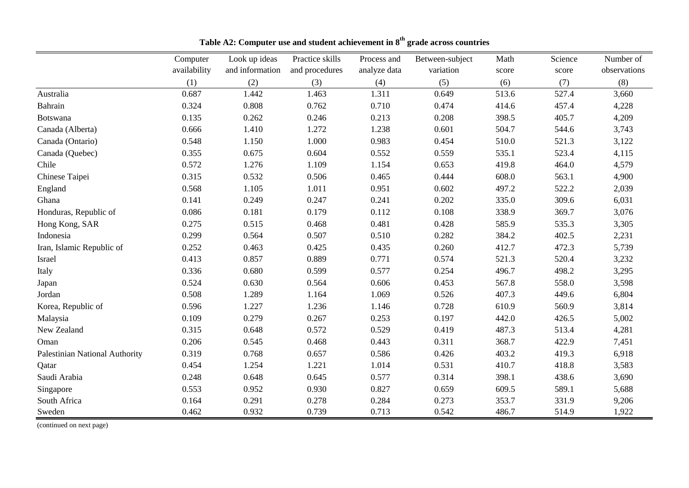|                                       | Computer     | Look up ideas   | Practice skills | Process and  | Between-subject | Math  | Science | Number of    |
|---------------------------------------|--------------|-----------------|-----------------|--------------|-----------------|-------|---------|--------------|
|                                       | availability | and information | and procedures  | analyze data | variation       | score | score   | observations |
|                                       | (1)          | (2)             | (3)             | (4)          | (5)             | (6)   | (7)     | (8)          |
| Australia                             | 0.687        | 1.442           | 1.463           | 1.311        | 0.649           | 513.6 | 527.4   | 3,660        |
| Bahrain                               | 0.324        | 0.808           | 0.762           | 0.710        | 0.474           | 414.6 | 457.4   | 4,228        |
| <b>Botswana</b>                       | 0.135        | 0.262           | 0.246           | 0.213        | 0.208           | 398.5 | 405.7   | 4,209        |
| Canada (Alberta)                      | 0.666        | 1.410           | 1.272           | 1.238        | 0.601           | 504.7 | 544.6   | 3,743        |
| Canada (Ontario)                      | 0.548        | 1.150           | 1.000           | 0.983        | 0.454           | 510.0 | 521.3   | 3,122        |
| Canada (Quebec)                       | 0.355        | 0.675           | 0.604           | 0.552        | 0.559           | 535.1 | 523.4   | 4,115        |
| Chile                                 | 0.572        | 1.276           | 1.109           | 1.154        | 0.653           | 419.8 | 464.0   | 4,579        |
| Chinese Taipei                        | 0.315        | 0.532           | 0.506           | 0.465        | 0.444           | 608.0 | 563.1   | 4,900        |
| England                               | 0.568        | 1.105           | 1.011           | 0.951        | 0.602           | 497.2 | 522.2   | 2,039        |
| Ghana                                 | 0.141        | 0.249           | 0.247           | 0.241        | 0.202           | 335.0 | 309.6   | 6,031        |
| Honduras, Republic of                 | 0.086        | 0.181           | 0.179           | 0.112        | 0.108           | 338.9 | 369.7   | 3,076        |
| Hong Kong, SAR                        | 0.275        | 0.515           | 0.468           | 0.481        | 0.428           | 585.9 | 535.3   | 3,305        |
| Indonesia                             | 0.299        | 0.564           | 0.507           | 0.510        | 0.282           | 384.2 | 402.5   | 2,231        |
| Iran, Islamic Republic of             | 0.252        | 0.463           | 0.425           | 0.435        | 0.260           | 412.7 | 472.3   | 5,739        |
| Israel                                | 0.413        | 0.857           | 0.889           | 0.771        | 0.574           | 521.3 | 520.4   | 3,232        |
| Italy                                 | 0.336        | 0.680           | 0.599           | 0.577        | 0.254           | 496.7 | 498.2   | 3,295        |
| Japan                                 | 0.524        | 0.630           | 0.564           | 0.606        | 0.453           | 567.8 | 558.0   | 3,598        |
| Jordan                                | 0.508        | 1.289           | 1.164           | 1.069        | 0.526           | 407.3 | 449.6   | 6,804        |
| Korea, Republic of                    | 0.596        | 1.227           | 1.236           | 1.146        | 0.728           | 610.9 | 560.9   | 3,814        |
| Malaysia                              | 0.109        | 0.279           | 0.267           | 0.253        | 0.197           | 442.0 | 426.5   | 5,002        |
| New Zealand                           | 0.315        | 0.648           | 0.572           | 0.529        | 0.419           | 487.3 | 513.4   | 4,281        |
| Oman                                  | 0.206        | 0.545           | 0.468           | 0.443        | 0.311           | 368.7 | 422.9   | 7,451        |
| <b>Palestinian National Authority</b> | 0.319        | 0.768           | 0.657           | 0.586        | 0.426           | 403.2 | 419.3   | 6,918        |
| Qatar                                 | 0.454        | 1.254           | 1.221           | 1.014        | 0.531           | 410.7 | 418.8   | 3,583        |
| Saudi Arabia                          | 0.248        | 0.648           | 0.645           | 0.577        | 0.314           | 398.1 | 438.6   | 3,690        |
| Singapore                             | 0.553        | 0.952           | 0.930           | 0.827        | 0.659           | 609.5 | 589.1   | 5,688        |
| South Africa                          | 0.164        | 0.291           | 0.278           | 0.284        | 0.273           | 353.7 | 331.9   | 9,206        |
| Sweden                                | 0.462        | 0.932           | 0.739           | 0.713        | 0.542           | 486.7 | 514.9   | 1,922        |

Table A2: Computer use and student achievement in 8<sup>th</sup> grade across countries

(continued on next page)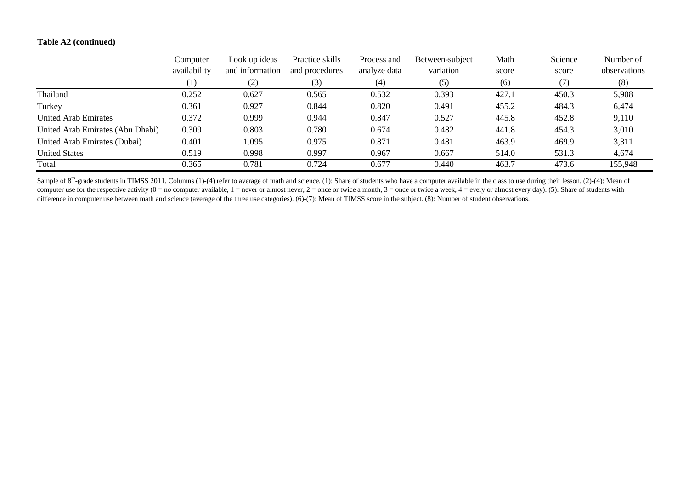#### **Table A2 (continued)**

|                                  | Computer<br>availability | Look up ideas<br>and information | Practice skills<br>and procedures | Process and<br>analyze data | Between-subject<br>variation | Math<br>score | Science<br>score | Number of<br>observations |
|----------------------------------|--------------------------|----------------------------------|-----------------------------------|-----------------------------|------------------------------|---------------|------------------|---------------------------|
|                                  | (1)                      | (2)                              | (3)                               | (4)                         | (5)                          | (6)           | (7)              | (8)                       |
| Thailand                         | 0.252                    | 0.627                            | 0.565                             | 0.532                       | 0.393                        | 427.1         | 450.3            | 5,908                     |
| Turkey                           | 0.361                    | 0.927                            | 0.844                             | 0.820                       | 0.491                        | 455.2         | 484.3            | 6,474                     |
| <b>United Arab Emirates</b>      | 0.372                    | 0.999                            | 0.944                             | 0.847                       | 0.527                        | 445.8         | 452.8            | 9,110                     |
| United Arab Emirates (Abu Dhabi) | 0.309                    | 0.803                            | 0.780                             | 0.674                       | 0.482                        | 441.8         | 454.3            | 3,010                     |
| United Arab Emirates (Dubai)     | 0.401                    | 1.095                            | 0.975                             | 0.871                       | 0.481                        | 463.9         | 469.9            | 3,311                     |
| <b>United States</b>             | 0.519                    | 0.998                            | 0.997                             | 0.967                       | 0.667                        | 514.0         | 531.3            | 4,674                     |
| Total                            | 0.365                    | 0.781                            | 0.724                             | 0.677                       | 0.440                        | 463.7         | 473.6            | 155,948                   |

Sample of 8<sup>th</sup>-grade students in TIMSS 2011. Columns (1)-(4) refer to average of math and science. (1): Share of students who have a computer available in the class to use during their lesson. (2)-(4): Mean of computer use for the respective activity  $(0 = no$  computer available,  $1 = never$  or almost never,  $2 = once$  or twice a month,  $3 = once$  or twice a week,  $4 = every$  or almost every day). (5): Share of students with difference in computer use between math and science (average of the three use categories). (6)-(7): Mean of TIMSS score in the subject. (8): Number of student observations.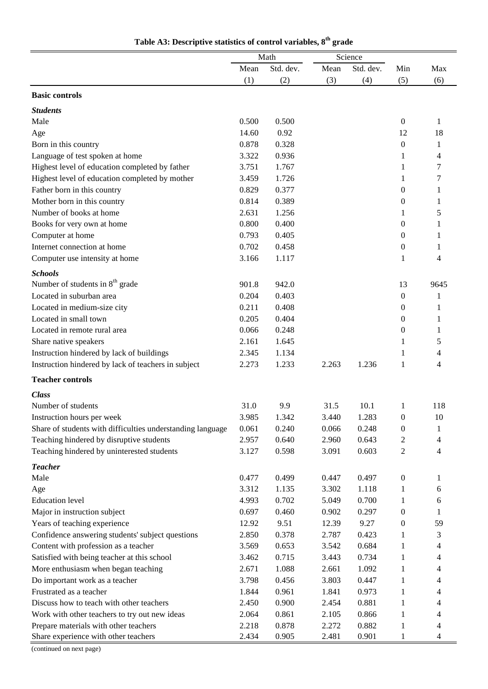|                                                            |                   | Math  |       | Science   |                  |                |
|------------------------------------------------------------|-------------------|-------|-------|-----------|------------------|----------------|
|                                                            | Std. dev.<br>Mean |       | Mean  | Std. dev. | Min              | Max            |
|                                                            | (1)               | (2)   | (3)   | (4)       | (5)              | (6)            |
| <b>Basic controls</b>                                      |                   |       |       |           |                  |                |
| <b>Students</b>                                            |                   |       |       |           |                  |                |
| Male                                                       | 0.500             | 0.500 |       |           | $\overline{0}$   | 1              |
| Age                                                        | 14.60             | 0.92  |       |           | 12               | 18             |
| Born in this country                                       | 0.878             | 0.328 |       |           | $\overline{0}$   | 1              |
| Language of test spoken at home                            | 3.322             | 0.936 |       |           |                  | 4              |
| Highest level of education completed by father             | 3.751             | 1.767 |       |           |                  | 7              |
| Highest level of education completed by mother             | 3.459             | 1.726 |       |           |                  | 7              |
| Father born in this country                                | 0.829             | 0.377 |       |           | 0                |                |
| Mother born in this country                                | 0.814             | 0.389 |       |           | 0                |                |
| Number of books at home                                    | 2.631             | 1.256 |       |           |                  | 5              |
| Books for very own at home                                 | 0.800             | 0.400 |       |           | $\boldsymbol{0}$ |                |
| Computer at home                                           | 0.793             | 0.405 |       |           | $\theta$         |                |
| Internet connection at home                                | 0.702             | 0.458 |       |           | 0                |                |
| Computer use intensity at home                             | 3.166             | 1.117 |       |           |                  | 4              |
|                                                            |                   |       |       |           |                  |                |
| <b>Schools</b>                                             |                   |       |       |           |                  |                |
| Number of students in $8th$ grade                          | 901.8             | 942.0 |       |           | 13               | 9645           |
| Located in suburban area                                   | 0.204             | 0.403 |       |           | $\boldsymbol{0}$ | 1              |
| Located in medium-size city                                | 0.211             | 0.408 |       |           | $\theta$         |                |
| Located in small town                                      | 0.205             | 0.404 |       |           | $\theta$         |                |
| Located in remote rural area                               | 0.066             | 0.248 |       |           | $\boldsymbol{0}$ |                |
| Share native speakers                                      | 2.161             | 1.645 |       |           |                  | 5              |
| Instruction hindered by lack of buildings                  | 2.345             | 1.134 |       |           |                  | 4              |
| Instruction hindered by lack of teachers in subject        | 2.273             | 1.233 | 2.263 | 1.236     | 1                | $\overline{4}$ |
| <b>Teacher controls</b>                                    |                   |       |       |           |                  |                |
| <b>Class</b>                                               |                   |       |       |           |                  |                |
| Number of students                                         | 31.0              | 9.9   | 31.5  | 10.1      | $\mathbf{1}$     | 118            |
| Instruction hours per week                                 | 3.985             | 1.342 | 3.440 | 1.283     | $\overline{0}$   | 10             |
| Share of students with difficulties understanding language | 0.061             | 0.240 | 0.066 | 0.248     | $\overline{0}$   | $\mathbf{1}$   |
| Teaching hindered by disruptive students                   | 2.957             | 0.640 | 2.960 | 0.643     | $\overline{2}$   | 4              |
| Teaching hindered by uninterested students                 | 3.127             | 0.598 | 3.091 | 0.603     | $\overline{2}$   | $\overline{4}$ |
| <b>Teacher</b>                                             |                   |       |       |           |                  |                |
| Male                                                       | 0.477             | 0.499 | 0.447 | 0.497     | $\boldsymbol{0}$ | 1              |
| Age                                                        | 3.312             | 1.135 | 3.302 | 1.118     | 1                | 6              |
| <b>Education</b> level                                     | 4.993             | 0.702 | 5.049 | 0.700     | $\mathbf{1}$     | 6              |
| Major in instruction subject                               | 0.697             | 0.460 | 0.902 | 0.297     | $\overline{0}$   | 1              |
| Years of teaching experience                               | 12.92             | 9.51  | 12.39 | 9.27      | $\mathbf{0}$     | 59             |
| Confidence answering students' subject questions           | 2.850             | 0.378 | 2.787 | 0.423     | 1                | 3              |
| Content with profession as a teacher                       | 3.569             | 0.653 | 3.542 | 0.684     | 1                | $\overline{4}$ |
| Satisfied with being teacher at this school                | 3.462             | 0.715 | 3.443 | 0.734     | 1                | 4              |
| More enthusiasm when began teaching                        | 2.671             | 1.088 | 2.661 | 1.092     | $\mathbf{1}$     | $\overline{4}$ |
| Do important work as a teacher                             | 3.798             | 0.456 | 3.803 | 0.447     | 1                | $\overline{4}$ |
| Frustrated as a teacher                                    | 1.844             | 0.961 | 1.841 | 0.973     | $\mathbf{1}$     | 4              |
| Discuss how to teach with other teachers                   | 2.450             | 0.900 | 2.454 | 0.881     | $\mathbf{1}$     | 4              |
| Work with other teachers to try out new ideas              | 2.064             | 0.861 | 2.105 | 0.866     | 1                | 4              |
| Prepare materials with other teachers                      | 2.218             | 0.878 | 2.272 | 0.882     | 1                | 4              |
| Share experience with other teachers                       | 2.434             | 0.905 | 2.481 | 0.901     | 1                | 4              |

**Table A3: Descriptive statistics of control variables, 8th grade**

(continued on next page)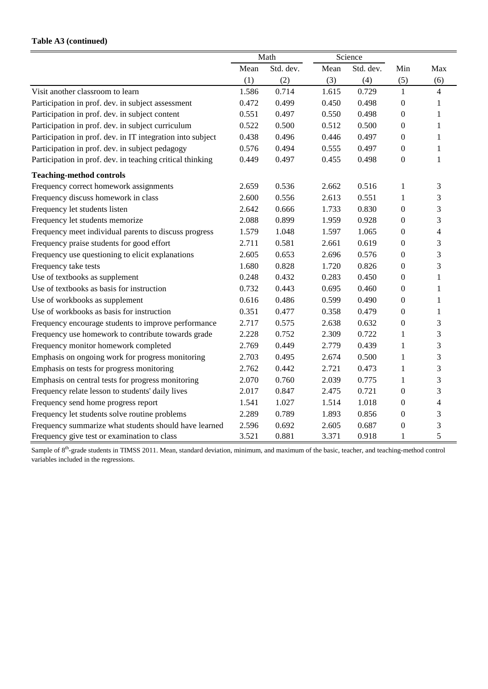### **Table A3 (continued)**

|                                                            | Math  |           |       | Science   |                  |     |
|------------------------------------------------------------|-------|-----------|-------|-----------|------------------|-----|
|                                                            | Mean  | Std. dev. | Mean  | Std. dev. | Min              | Max |
|                                                            | (1)   | (2)       | (3)   | (4)       | (5)              | (6) |
| Visit another classroom to learn                           | 1.586 | 0.714     | 1.615 | 0.729     | 1                | 4   |
| Participation in prof. dev. in subject assessment          | 0.472 | 0.499     | 0.450 | 0.498     | $\boldsymbol{0}$ |     |
| Participation in prof. dev. in subject content             | 0.551 | 0.497     | 0.550 | 0.498     | $\boldsymbol{0}$ |     |
| Participation in prof. dev. in subject curriculum          | 0.522 | 0.500     | 0.512 | 0.500     | $\boldsymbol{0}$ |     |
| Participation in prof. dev. in IT integration into subject | 0.438 | 0.496     | 0.446 | 0.497     | $\boldsymbol{0}$ | 1   |
| Participation in prof. dev. in subject pedagogy            | 0.576 | 0.494     | 0.555 | 0.497     | $\boldsymbol{0}$ |     |
| Participation in prof. dev. in teaching critical thinking  | 0.449 | 0.497     | 0.455 | 0.498     | $\boldsymbol{0}$ | 1   |
| <b>Teaching-method controls</b>                            |       |           |       |           |                  |     |
| Frequency correct homework assignments                     | 2.659 | 0.536     | 2.662 | 0.516     | $\mathbf{1}$     | 3   |
| Frequency discuss homework in class                        | 2.600 | 0.556     | 2.613 | 0.551     | $\mathbf{1}$     | 3   |
| Frequency let students listen                              | 2.642 | 0.666     | 1.733 | 0.830     | $\boldsymbol{0}$ | 3   |
| Frequency let students memorize                            | 2.088 | 0.899     | 1.959 | 0.928     | $\boldsymbol{0}$ | 3   |
| Frequency meet individual parents to discuss progress      | 1.579 | 1.048     | 1.597 | 1.065     | $\boldsymbol{0}$ | 4   |
| Frequency praise students for good effort                  | 2.711 | 0.581     | 2.661 | 0.619     | $\boldsymbol{0}$ | 3   |
| Frequency use questioning to elicit explanations           | 2.605 | 0.653     | 2.696 | 0.576     | $\boldsymbol{0}$ | 3   |
| Frequency take tests                                       | 1.680 | 0.828     | 1.720 | 0.826     | $\boldsymbol{0}$ | 3   |
| Use of textbooks as supplement                             | 0.248 | 0.432     | 0.283 | 0.450     | $\boldsymbol{0}$ |     |
| Use of textbooks as basis for instruction                  | 0.732 | 0.443     | 0.695 | 0.460     | $\boldsymbol{0}$ | 1   |
| Use of workbooks as supplement                             | 0.616 | 0.486     | 0.599 | 0.490     | $\boldsymbol{0}$ |     |
| Use of workbooks as basis for instruction                  | 0.351 | 0.477     | 0.358 | 0.479     | $\boldsymbol{0}$ | 1   |
| Frequency encourage students to improve performance        | 2.717 | 0.575     | 2.638 | 0.632     | $\boldsymbol{0}$ | 3   |
| Frequency use homework to contribute towards grade         | 2.228 | 0.752     | 2.309 | 0.722     | $\mathbf{1}$     | 3   |
| Frequency monitor homework completed                       | 2.769 | 0.449     | 2.779 | 0.439     | $\mathbf{1}$     | 3   |
| Emphasis on ongoing work for progress monitoring           | 2.703 | 0.495     | 2.674 | 0.500     | $\mathbf 1$      | 3   |
| Emphasis on tests for progress monitoring                  | 2.762 | 0.442     | 2.721 | 0.473     | 1                | 3   |
| Emphasis on central tests for progress monitoring          | 2.070 | 0.760     | 2.039 | 0.775     |                  |     |
| Frequency relate lesson to students' daily lives           | 2.017 | 0.847     | 2.475 | 0.721     | $\boldsymbol{0}$ | 3   |
| Frequency send home progress report                        | 1.541 | 1.027     | 1.514 | 1.018     | $\theta$         |     |
| Frequency let students solve routine problems              | 2.289 | 0.789     | 1.893 | 0.856     | $\Omega$         |     |
| Frequency summarize what students should have learned      | 2.596 | 0.692     | 2.605 | 0.687     | $\boldsymbol{0}$ | 3   |
| Frequency give test or examination to class                | 3.521 | 0.881     | 3.371 | 0.918     | 1                | 5   |

Sample of 8<sup>th</sup>-grade students in TIMSS 2011. Mean, standard deviation, minimum, and maximum of the basic, teacher, and teaching-method control variables included in the regressions.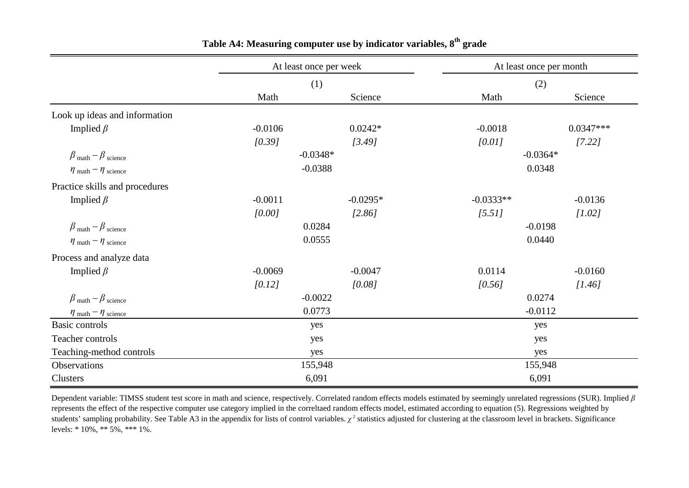|                                |           | At least once per week |             | At least once per month |  |
|--------------------------------|-----------|------------------------|-------------|-------------------------|--|
|                                |           | (1)                    |             | (2)                     |  |
|                                | Math      | Science                | Math        | Science                 |  |
| Look up ideas and information  |           |                        |             |                         |  |
| Implied $\beta$                | $-0.0106$ | $0.0242*$              | $-0.0018$   | $0.0347***$             |  |
|                                | [0.39]    | [3.49]                 | [0.01]      | [7.22]                  |  |
| $\beta$ math $-\beta$ science  |           | $-0.0348*$             |             | $-0.0364*$              |  |
| $\eta$ math $-\eta$ science    |           | $-0.0388$              |             | 0.0348                  |  |
| Practice skills and procedures |           |                        |             |                         |  |
| Implied $\beta$                | $-0.0011$ | $-0.0295*$             | $-0.0333**$ | $-0.0136$               |  |
|                                | [0.00]    | [2.86]                 | [5.51]      | [1.02]                  |  |
| $\beta$ math $-\beta$ science  |           | 0.0284                 | $-0.0198$   |                         |  |
| $\eta$ math $-\eta$ science    |           | 0.0555                 |             | 0.0440                  |  |
| Process and analyze data       |           |                        |             |                         |  |
| Implied $\beta$                | $-0.0069$ | $-0.0047$              | 0.0114      | $-0.0160$               |  |
|                                | [0.12]    | [0.08]                 | [0.56]      | [1.46]                  |  |
| $\beta$ math $-\beta$ science  |           | $-0.0022$              |             | 0.0274                  |  |
| $\eta$ math $-\eta$ science    |           | 0.0773                 |             | $-0.0112$               |  |
| Basic controls                 |           | yes                    |             | yes                     |  |
| Teacher controls               |           | yes                    |             | yes                     |  |
| Teaching-method controls       |           | yes                    |             | yes                     |  |
| Observations                   |           | 155,948                |             | 155,948                 |  |
| Clusters                       |           | 6,091                  |             | 6,091                   |  |

**Table A4: Measuring computer use by indicator variables, 8th grade**

Dependent variable: TIMSS student test score in math and science, respectively. Correlated random effects models estimated by seemingly unrelated regressions (SUR). Implied *β*  represents the effect of the respective computer use category implied in the correltaed random effects model, estimated according to equation (5). Regressions weighted by students' sampling probability. See Table A3 in the appendix for lists of control variables.  $\chi^2$  statistics adjusted for clustering at the classroom level in brackets. Significance levels: \* 10%, \*\* 5%, \*\*\* 1%.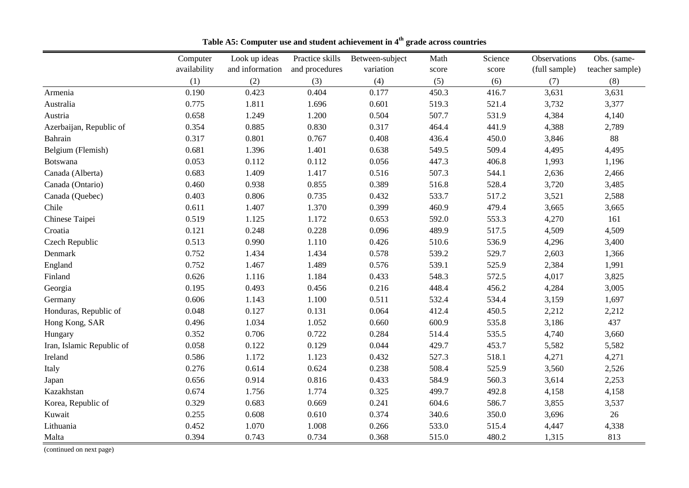|                           | Computer     | Look up ideas   | Practice skills | Between-subject | Math  | Science | Observations  | Obs. (same-     |
|---------------------------|--------------|-----------------|-----------------|-----------------|-------|---------|---------------|-----------------|
|                           | availability | and information | and procedures  | variation       | score | score   | (full sample) | teacher sample) |
|                           | (1)          | (2)             | (3)             | (4)             | (5)   | (6)     | (7)           | (8)             |
| Armenia                   | 0.190        | 0.423           | 0.404           | 0.177           | 450.3 | 416.7   | 3,631         | 3,631           |
| Australia                 | 0.775        | 1.811           | 1.696           | 0.601           | 519.3 | 521.4   | 3,732         | 3,377           |
| Austria                   | 0.658        | 1.249           | 1.200           | 0.504           | 507.7 | 531.9   | 4,384         | 4,140           |
| Azerbaijan, Republic of   | 0.354        | 0.885           | 0.830           | 0.317           | 464.4 | 441.9   | 4,388         | 2,789           |
| Bahrain                   | 0.317        | 0.801           | 0.767           | 0.408           | 436.4 | 450.0   | 3,846         | 88              |
| Belgium (Flemish)         | 0.681        | 1.396           | 1.401           | 0.638           | 549.5 | 509.4   | 4,495         | 4,495           |
| <b>Botswana</b>           | 0.053        | 0.112           | 0.112           | 0.056           | 447.3 | 406.8   | 1,993         | 1,196           |
| Canada (Alberta)          | 0.683        | 1.409           | 1.417           | 0.516           | 507.3 | 544.1   | 2,636         | 2,466           |
| Canada (Ontario)          | 0.460        | 0.938           | 0.855           | 0.389           | 516.8 | 528.4   | 3,720         | 3,485           |
| Canada (Quebec)           | 0.403        | 0.806           | 0.735           | 0.432           | 533.7 | 517.2   | 3,521         | 2,588           |
| Chile                     | 0.611        | 1.407           | 1.370           | 0.399           | 460.9 | 479.4   | 3,665         | 3,665           |
| Chinese Taipei            | 0.519        | 1.125           | 1.172           | 0.653           | 592.0 | 553.3   | 4,270         | 161             |
| Croatia                   | 0.121        | 0.248           | 0.228           | 0.096           | 489.9 | 517.5   | 4,509         | 4,509           |
| <b>Czech Republic</b>     | 0.513        | 0.990           | 1.110           | 0.426           | 510.6 | 536.9   | 4,296         | 3,400           |
| Denmark                   | 0.752        | 1.434           | 1.434           | 0.578           | 539.2 | 529.7   | 2,603         | 1,366           |
| England                   | 0.752        | 1.467           | 1.489           | 0.576           | 539.1 | 525.9   | 2,384         | 1,991           |
| Finland                   | 0.626        | 1.116           | 1.184           | 0.433           | 548.3 | 572.5   | 4,017         | 3,825           |
| Georgia                   | 0.195        | 0.493           | 0.456           | 0.216           | 448.4 | 456.2   | 4,284         | 3,005           |
| Germany                   | 0.606        | 1.143           | 1.100           | 0.511           | 532.4 | 534.4   | 3,159         | 1,697           |
| Honduras, Republic of     | 0.048        | 0.127           | 0.131           | 0.064           | 412.4 | 450.5   | 2,212         | 2,212           |
| Hong Kong, SAR            | 0.496        | 1.034           | 1.052           | 0.660           | 600.9 | 535.8   | 3,186         | 437             |
| Hungary                   | 0.352        | 0.706           | 0.722           | 0.284           | 514.4 | 535.5   | 4,740         | 3,660           |
| Iran, Islamic Republic of | 0.058        | 0.122           | 0.129           | 0.044           | 429.7 | 453.7   | 5,582         | 5,582           |
| Ireland                   | 0.586        | 1.172           | 1.123           | 0.432           | 527.3 | 518.1   | 4,271         | 4,271           |
| Italy                     | 0.276        | 0.614           | 0.624           | 0.238           | 508.4 | 525.9   | 3,560         | 2,526           |
| Japan                     | 0.656        | 0.914           | 0.816           | 0.433           | 584.9 | 560.3   | 3,614         | 2,253           |
| Kazakhstan                | 0.674        | 1.756           | 1.774           | 0.325           | 499.7 | 492.8   | 4,158         | 4,158           |
| Korea, Republic of        | 0.329        | 0.683           | 0.669           | 0.241           | 604.6 | 586.7   | 3,855         | 3,537           |
| Kuwait                    | 0.255        | 0.608           | 0.610           | 0.374           | 340.6 | 350.0   | 3,696         | 26              |
| Lithuania                 | 0.452        | 1.070           | 1.008           | 0.266           | 533.0 | 515.4   | 4,447         | 4,338           |
| Malta                     | 0.394        | 0.743           | 0.734           | 0.368           | 515.0 | 480.2   | 1,315         | 813             |

**Table A5: Computer use and student achievement in 4th grade across countries** 

(continued on next page)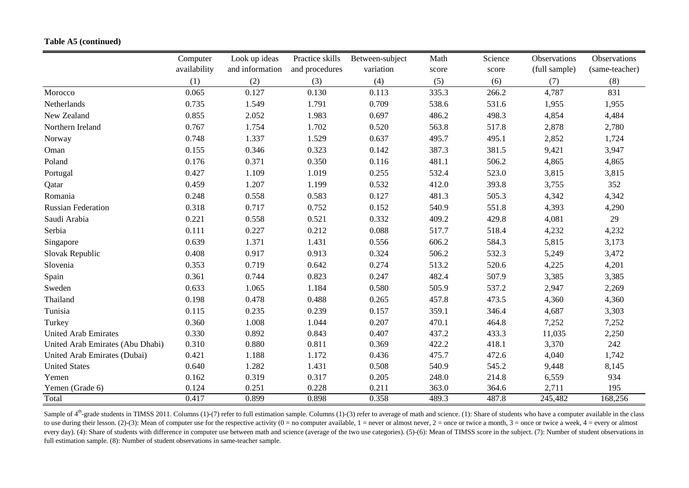#### **Table A5 (continued)**

|                                  | Computer     | Look up ideas   | Practice skills | Between-subject | Math  | Science | Observations  | Observations   |
|----------------------------------|--------------|-----------------|-----------------|-----------------|-------|---------|---------------|----------------|
|                                  | availability | and information | and procedures  | variation       | score | score   | (full sample) | (same-teacher) |
|                                  | (1)          | (2)             | (3)             | (4)             | (5)   | (6)     | (7)           | (8)            |
| Morocco                          | 0.065        | 0.127           | 0.130           | 0.113           | 335.3 | 266.2   | 4,787         | 831            |
| Netherlands                      | 0.735        | 1.549           | 1.791           | 0.709           | 538.6 | 531.6   | 1,955         | 1,955          |
| New Zealand                      | 0.855        | 2.052           | 1.983           | 0.697           | 486.2 | 498.3   | 4,854         | 4,484          |
| Northern Ireland                 | 0.767        | 1.754           | 1.702           | 0.520           | 563.8 | 517.8   | 2,878         | 2,780          |
| Norway                           | 0.748        | 1.337           | 1.529           | 0.637           | 495.7 | 495.1   | 2,852         | 1,724          |
| Oman                             | 0.155        | 0.346           | 0.323           | 0.142           | 387.3 | 381.5   | 9,421         | 3,947          |
| Poland                           | 0.176        | 0.371           | 0.350           | 0.116           | 481.1 | 506.2   | 4,865         | 4,865          |
| Portugal                         | 0.427        | 1.109           | 1.019           | 0.255           | 532.4 | 523.0   | 3,815         | 3,815          |
| Qatar                            | 0.459        | 1.207           | 1.199           | 0.532           | 412.0 | 393.8   | 3,755         | 352            |
| Romania                          | 0.248        | 0.558           | 0.583           | 0.127           | 481.3 | 505.3   | 4,342         | 4,342          |
| <b>Russian Federation</b>        | 0.318        | 0.717           | 0.752           | 0.152           | 540.9 | 551.8   | 4,393         | 4,290          |
| Saudi Arabia                     | 0.221        | 0.558           | 0.521           | 0.332           | 409.2 | 429.8   | 4,081         | 29             |
| Serbia                           | 0.111        | 0.227           | 0.212           | 0.088           | 517.7 | 518.4   | 4,232         | 4,232          |
| Singapore                        | 0.639        | 1.371           | 1.431           | 0.556           | 606.2 | 584.3   | 5,815         | 3,173          |
| Slovak Republic                  | 0.408        | 0.917           | 0.913           | 0.324           | 506.2 | 532.3   | 5,249         | 3,472          |
| Slovenia                         | 0.353        | 0.719           | 0.642           | 0.274           | 513.2 | 520.6   | 4,225         | 4,201          |
| Spain                            | 0.361        | 0.744           | 0.823           | 0.247           | 482.4 | 507.9   | 3,385         | 3,385          |
| Sweden                           | 0.633        | 1.065           | 1.184           | 0.580           | 505.9 | 537.2   | 2,947         | 2,269          |
| Thailand                         | 0.198        | 0.478           | 0.488           | 0.265           | 457.8 | 473.5   | 4,360         | 4,360          |
| Tunisia                          | 0.115        | 0.235           | 0.239           | 0.157           | 359.1 | 346.4   | 4,687         | 3,303          |
| Turkey                           | 0.360        | 1.008           | 1.044           | 0.207           | 470.1 | 464.8   | 7,252         | 7,252          |
| <b>United Arab Emirates</b>      | 0.330        | 0.892           | 0.843           | 0.407           | 437.2 | 433.3   | 11,035        | 2,250          |
| United Arab Emirates (Abu Dhabi) | 0.310        | 0.880           | 0.811           | 0.369           | 422.2 | 418.1   | 3,370         | 242            |
| United Arab Emirates (Dubai)     | 0.421        | 1.188           | 1.172           | 0.436           | 475.7 | 472.6   | 4,040         | 1,742          |
| <b>United States</b>             | 0.640        | 1.282           | 1.431           | 0.508           | 540.9 | 545.2   | 9,448         | 8,145          |
| Yemen                            | 0.162        | 0.319           | 0.317           | 0.205           | 248.0 | 214.8   | 6,559         | 934            |
| Yemen (Grade 6)                  | 0.124        | 0.251           | 0.228           | 0.211           | 363.0 | 364.6   | 2,711         | 195            |
| Total                            | 0.417        | 0.899           | 0.898           | 0.358           | 489.3 | 487.8   | 245,482       | 168,256        |

Sample of 4<sup>th</sup>-grade students in TIMSS 2011. Columns (1)-(7) refer to full estimation sample. Columns (1)-(3) refer to average of math and science. (1): Share of students who have a computer available in the class to use during their lesson. (2)-(3): Mean of computer use for the respective activity (0 = no computer available, 1 = never or almost never, 2 = once or twice a month, 3 = once or twice a week, 4 = every or almost every day). (4): Share of students with difference in computer use between math and science (average of the two use categories). (5)-(6): Mean of TIMSS score in the subject. (7): Number of student observations in full estimation sample. (8): Number of student observations in same-teacher sample.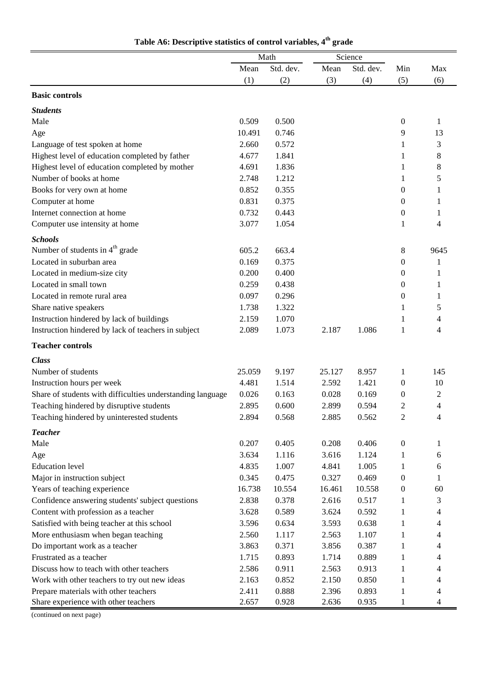|                                                            |        | Math      |        | Science   |                  |                |
|------------------------------------------------------------|--------|-----------|--------|-----------|------------------|----------------|
|                                                            | Mean   | Std. dev. | Mean   | Std. dev. | Min              | Max            |
|                                                            | (1)    | (2)       | (3)    | (4)       | (5)              | (6)            |
| <b>Basic controls</b>                                      |        |           |        |           |                  |                |
| <b>Students</b>                                            |        |           |        |           |                  |                |
| Male                                                       | 0.509  | 0.500     |        |           | $\boldsymbol{0}$ | 1              |
| Age                                                        | 10.491 | 0.746     |        |           | 9                | 13             |
| Language of test spoken at home                            | 2.660  | 0.572     |        |           |                  | 3              |
| Highest level of education completed by father             | 4.677  | 1.841     |        |           |                  | 8              |
| Highest level of education completed by mother             | 4.691  | 1.836     |        |           |                  | 8              |
| Number of books at home                                    | 2.748  | 1.212     |        |           |                  | 5              |
| Books for very own at home                                 | 0.852  | 0.355     |        |           | $\theta$         |                |
| Computer at home                                           | 0.831  | 0.375     |        |           | $\theta$         |                |
| Internet connection at home                                | 0.732  | 0.443     |        |           | $\overline{0}$   |                |
| Computer use intensity at home                             | 3.077  | 1.054     |        |           |                  | 4              |
|                                                            |        |           |        |           |                  |                |
| <b>Schools</b>                                             |        |           |        |           |                  |                |
| Number of students in $4th$ grade                          | 605.2  | 663.4     |        |           | 8                | 9645           |
| Located in suburban area                                   | 0.169  | 0.375     |        |           | $\overline{0}$   |                |
| Located in medium-size city                                | 0.200  | 0.400     |        |           | $\theta$         |                |
| Located in small town                                      | 0.259  | 0.438     |        |           | $\theta$         |                |
| Located in remote rural area                               | 0.097  | 0.296     |        |           | $\boldsymbol{0}$ |                |
| Share native speakers                                      | 1.738  | 1.322     |        |           |                  | 5              |
| Instruction hindered by lack of buildings                  | 2.159  | 1.070     |        |           |                  | 4              |
| Instruction hindered by lack of teachers in subject        | 2.089  | 1.073     | 2.187  | 1.086     | 1                | 4              |
| <b>Teacher controls</b>                                    |        |           |        |           |                  |                |
| <b>Class</b>                                               |        |           |        |           |                  |                |
| Number of students                                         | 25.059 | 9.197     | 25.127 | 8.957     | 1                | 145            |
| Instruction hours per week                                 | 4.481  | 1.514     | 2.592  | 1.421     | $\boldsymbol{0}$ | 10             |
| Share of students with difficulties understanding language | 0.026  | 0.163     | 0.028  | 0.169     | $\overline{0}$   | $\overline{2}$ |
| Teaching hindered by disruptive students                   | 2.895  | 0.600     | 2.899  | 0.594     | 2                | $\overline{4}$ |
| Teaching hindered by uninterested students                 | 2.894  | 0.568     | 2.885  | 0.562     | $\overline{2}$   | 4              |
| <b>Teacher</b>                                             |        |           |        |           |                  |                |
| Male                                                       | 0.207  | 0.405     | 0.208  | 0.406     | $\overline{0}$   | 1              |
| Age                                                        | 3.634  | 1.116     | 3.616  | 1.124     | $\mathbf{1}$     | 6              |
| <b>Education</b> level                                     | 4.835  | 1.007     | 4.841  | 1.005     | 1                | 6              |
| Major in instruction subject                               | 0.345  | 0.475     | 0.327  | 0.469     | $\overline{0}$   | $\mathbf{1}$   |
| Years of teaching experience                               | 16.738 | 10.554    | 16.461 | 10.558    | $\overline{0}$   | 60             |
| Confidence answering students' subject questions           | 2.838  | 0.378     | 2.616  | 0.517     | $\mathbf{1}$     | 3              |
| Content with profession as a teacher                       | 3.628  | 0.589     | 3.624  | 0.592     | 1                | 4              |
| Satisfied with being teacher at this school                | 3.596  | 0.634     | 3.593  | 0.638     | 1                | 4              |
| More enthusiasm when began teaching                        | 2.560  | 1.117     | 2.563  | 1.107     | $\mathbf{1}$     | 4              |
| Do important work as a teacher                             | 3.863  | 0.371     | 3.856  | 0.387     | 1                | 4              |
| Frustrated as a teacher                                    | 1.715  | 0.893     | 1.714  | 0.889     | 1                | 4              |
| Discuss how to teach with other teachers                   | 2.586  | 0.911     | 2.563  | 0.913     | $\mathbf{1}$     | 4              |
| Work with other teachers to try out new ideas              | 2.163  | 0.852     | 2.150  | 0.850     | $\mathbf{1}$     | 4              |
| Prepare materials with other teachers                      | 2.411  | 0.888     | 2.396  | 0.893     | 1                | 4              |
| Share experience with other teachers                       | 2.657  | 0.928     | 2.636  | 0.935     | $\mathbf{1}$     | 4              |

**Table A6: Descriptive statistics of control variables, 4th grade**

(continued on next page)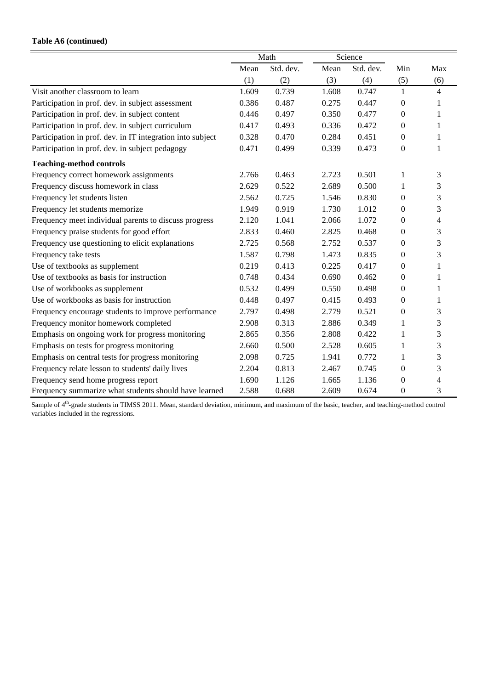### **Table A6 (continued)**

|                                                            | Math  |           |       | Science   |                  |              |
|------------------------------------------------------------|-------|-----------|-------|-----------|------------------|--------------|
|                                                            | Mean  | Std. dev. | Mean  | Std. dev. | Min              | Max          |
|                                                            | (1)   | (2)       | (3)   | (4)       | (5)              | (6)          |
| Visit another classroom to learn                           | 1.609 | 0.739     | 1.608 | 0.747     | $\mathbf{1}$     | 4            |
| Participation in prof. dev. in subject assessment          | 0.386 | 0.487     | 0.275 | 0.447     | $\boldsymbol{0}$ | 1            |
| Participation in prof. dev. in subject content             | 0.446 | 0.497     | 0.350 | 0.477     | $\boldsymbol{0}$ | 1            |
| Participation in prof. dev. in subject curriculum          | 0.417 | 0.493     | 0.336 | 0.472     | $\boldsymbol{0}$ | $\mathbf{1}$ |
| Participation in prof. dev. in IT integration into subject | 0.328 | 0.470     | 0.284 | 0.451     | $\boldsymbol{0}$ | 1            |
| Participation in prof. dev. in subject pedagogy            | 0.471 | 0.499     | 0.339 | 0.473     | $\boldsymbol{0}$ | $\mathbf{1}$ |
| <b>Teaching-method controls</b>                            |       |           |       |           |                  |              |
| Frequency correct homework assignments                     | 2.766 | 0.463     | 2.723 | 0.501     | $\mathbf{1}$     | 3            |
| Frequency discuss homework in class                        | 2.629 | 0.522     | 2.689 | 0.500     | 1                | 3            |
| Frequency let students listen                              | 2.562 | 0.725     | 1.546 | 0.830     | $\overline{0}$   | 3            |
| Frequency let students memorize                            | 1.949 | 0.919     | 1.730 | 1.012     | $\boldsymbol{0}$ | 3            |
| Frequency meet individual parents to discuss progress      | 2.120 | 1.041     | 2.066 | 1.072     | $\boldsymbol{0}$ | 4            |
| Frequency praise students for good effort                  | 2.833 | 0.460     | 2.825 | 0.468     | $\boldsymbol{0}$ | 3            |
| Frequency use questioning to elicit explanations           | 2.725 | 0.568     | 2.752 | 0.537     | $\boldsymbol{0}$ | 3            |
| Frequency take tests                                       | 1.587 | 0.798     | 1.473 | 0.835     | $\boldsymbol{0}$ | 3            |
| Use of textbooks as supplement                             | 0.219 | 0.413     | 0.225 | 0.417     | $\boldsymbol{0}$ | $\mathbf{1}$ |
| Use of textbooks as basis for instruction                  | 0.748 | 0.434     | 0.690 | 0.462     | $\boldsymbol{0}$ | 1            |
| Use of workbooks as supplement                             | 0.532 | 0.499     | 0.550 | 0.498     | $\boldsymbol{0}$ | 1            |
| Use of workbooks as basis for instruction                  | 0.448 | 0.497     | 0.415 | 0.493     | $\boldsymbol{0}$ | 1            |
| Frequency encourage students to improve performance        | 2.797 | 0.498     | 2.779 | 0.521     | $\boldsymbol{0}$ | 3            |
| Frequency monitor homework completed                       | 2.908 | 0.313     | 2.886 | 0.349     | $\mathbf{1}$     | 3            |
| Emphasis on ongoing work for progress monitoring           | 2.865 | 0.356     | 2.808 | 0.422     | $\mathbf{1}$     | 3            |
| Emphasis on tests for progress monitoring                  | 2.660 | 0.500     | 2.528 | 0.605     | $\mathbf{1}$     | 3            |
| Emphasis on central tests for progress monitoring          | 2.098 | 0.725     | 1.941 | 0.772     | $\mathbf{1}$     | 3            |
| Frequency relate lesson to students' daily lives           | 2.204 | 0.813     | 2.467 | 0.745     | $\overline{0}$   | 3            |
| Frequency send home progress report                        | 1.690 | 1.126     | 1.665 | 1.136     | $\boldsymbol{0}$ | 4            |
| Frequency summarize what students should have learned      | 2.588 | 0.688     | 2.609 | 0.674     | $\boldsymbol{0}$ | 3            |

Sample of 4<sup>th</sup>-grade students in TIMSS 2011. Mean, standard deviation, minimum, and maximum of the basic, teacher, and teaching-method control variables included in the regressions.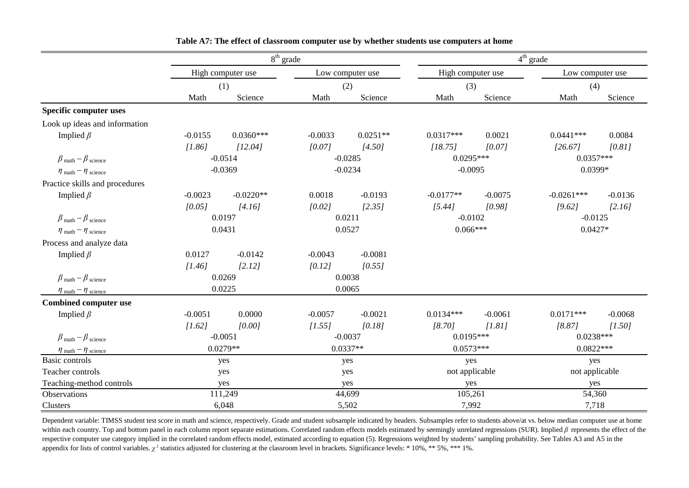|                                                | $8th$ grade |                   |           |                  | $4th$ grade       |           |                  |           |  |
|------------------------------------------------|-------------|-------------------|-----------|------------------|-------------------|-----------|------------------|-----------|--|
|                                                |             | High computer use |           | Low computer use | High computer use |           | Low computer use |           |  |
|                                                |             | (1)               |           | (2)              | (3)               |           | (4)              |           |  |
|                                                | Math        | Science           | Math      | Science          | Math              | Science   | Math             | Science   |  |
| <b>Specific computer uses</b>                  |             |                   |           |                  |                   |           |                  |           |  |
| Look up ideas and information                  |             |                   |           |                  |                   |           |                  |           |  |
| Implied $\beta$                                | $-0.0155$   | $0.0360***$       | $-0.0033$ | $0.0251**$       | $0.0317***$       | 0.0021    | $0.0441***$      | 0.0084    |  |
|                                                | [1.86]      | [12.04]           | [0.07]    | [4.50]           | [18.75]           | [0.07]    | [26.67]          | [0.81]    |  |
| $\beta$ math $-\beta$ science                  |             | $-0.0514$         |           | $-0.0285$        | $0.0295***$       |           | $0.0357***$      |           |  |
| $\eta$ math $-\eta$ science                    |             | $-0.0369$         |           | $-0.0234$        | $-0.0095$         |           | $0.0399*$        |           |  |
| Practice skills and procedures                 |             |                   |           |                  |                   |           |                  |           |  |
| Implied $\beta$                                | $-0.0023$   | $-0.0220**$       | 0.0018    | $-0.0193$        | $-0.0177**$       | $-0.0075$ | $-0.0261***$     | $-0.0136$ |  |
|                                                | [0.05]      | [4.16]            | [0.02]    | [2.35]           | [5.44]            | [0.98]    | [9.62]           | [2.16]    |  |
| $\beta_{\text{math}} - \beta_{\text{science}}$ |             | 0.0197            | 0.0211    |                  | $-0.0102$         |           | $-0.0125$        |           |  |
| $\eta$ math $-\eta$ science                    |             | 0.0431            | 0.0527    |                  | $0.066***$        |           | $0.0427*$        |           |  |
| Process and analyze data                       |             |                   |           |                  |                   |           |                  |           |  |
| Implied $\beta$                                | 0.0127      | $-0.0142$         | $-0.0043$ | $-0.0081$        |                   |           |                  |           |  |
|                                                | [1.46]      | [2.12]            | [0.12]    | [0.55]           |                   |           |                  |           |  |
| $\beta_{\text{math}} - \beta_{\text{science}}$ |             | 0.0269            |           | 0.0038           |                   |           |                  |           |  |
| $\eta$ math $-\eta$ science                    |             | 0.0225            |           | 0.0065           |                   |           |                  |           |  |
| <b>Combined computer use</b>                   |             |                   |           |                  |                   |           |                  |           |  |
| Implied $\beta$                                | $-0.0051$   | 0.0000            | $-0.0057$ | $-0.0021$        | $0.0134***$       | $-0.0061$ | $0.0171***$      | $-0.0068$ |  |
|                                                | [1.62]      | [0.00]            | [1.55]    | [0.18]           | [8.70]            | [1.81]    | [8.87]           | [1.50]    |  |
| $\beta$ math $-\beta$ science                  |             | $-0.0051$         |           | $-0.0037$        | $0.0195***$       |           | $0.0238***$      |           |  |
| $\eta$ math $-\eta$ science                    |             | $0.0279**$        |           | $0.0337**$       | $0.0573***$       |           | $0.0822***$      |           |  |
| <b>Basic controls</b>                          |             | yes               |           | yes              | yes               |           | yes              |           |  |
| Teacher controls                               |             | yes               |           | yes              | not applicable    |           | not applicable   |           |  |
| Teaching-method controls                       |             | yes               |           | yes              | yes               |           | yes              |           |  |
| Observations                                   |             | 111,249           |           | 44,699           | 105,261           |           | 54,360           |           |  |
| Clusters                                       |             | 6,048             |           | 5,502            | 7,992             |           | 7,718            |           |  |

**Table A7: The effect of classroom computer use by whether students use computers at home**

Dependent variable: TIMSS student test score in math and science, respectively. Grade and student subsample indicated by headers. Subsamples refer to students above/at vs. below median computer use at home within each country. Top and bottom panel in each column report separate estimations. Correlated random effects models estimated by seemingly unrelated regressions (SUR). Implied *β* represents the effect of the respective computer use category implied in the correlated random effects model, estimated according to equation (5). Regressions weighted by students' sampling probability. See Tables A3 and A5 in the appendix for lists of control variables.  $\chi^2$  statistics adjusted for clustering at the classroom level in brackets. Significance levels: \* 10%, \*\* 5%, \*\*\* 1%.